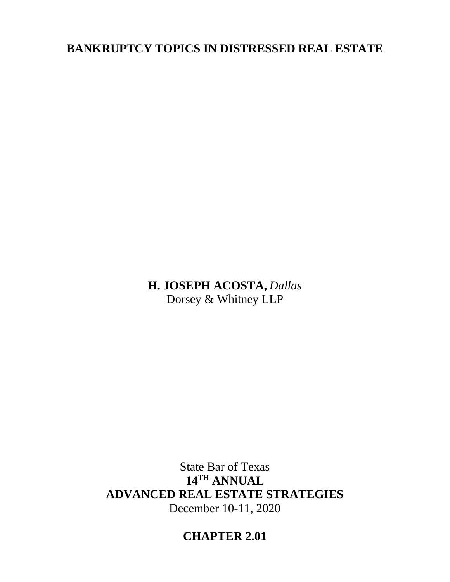# **BANKRUPTCY TOPICS IN DISTRESSED REAL ESTATE**

**H. JOSEPH ACOSTA,** *Dallas* Dorsey & Whitney LLP

State Bar of Texas **14TH ANNUAL ADVANCED REAL ESTATE STRATEGIES** December 10-11, 2020

**CHAPTER 2.01**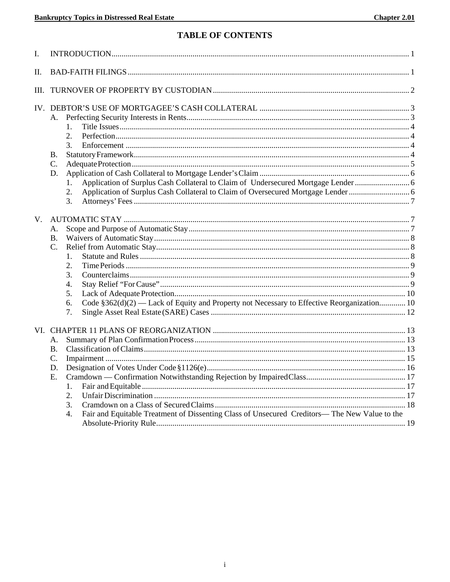## **TABLE OF CONTENTS**

| I.   |                                                                                                                                                                                      |  |
|------|--------------------------------------------------------------------------------------------------------------------------------------------------------------------------------------|--|
| Π.   |                                                                                                                                                                                      |  |
| III. |                                                                                                                                                                                      |  |
|      | А.<br>1.<br>2.<br>3.<br>В.<br>C.<br>D.<br>Application of Surplus Cash Collateral to Claim of Undersecured Mortgage Lender  6<br>1.<br>2.<br>3.                                       |  |
| V.   | А.<br><b>B.</b><br>$\mathcal{C}$ .<br>$\mathbf{1}$<br>2.<br>3.<br>4.<br>5.<br>Code §362(d)(2) — Lack of Equity and Property not Necessary to Effective Reorganization 10<br>6.<br>7. |  |
|      | А.<br>Β.<br>$C$ .<br>D.<br>E.<br>1.<br>2.<br>3.<br>Fair and Equitable Treatment of Dissenting Class of Unsecured Creditors-The New Value to the<br>4.                                |  |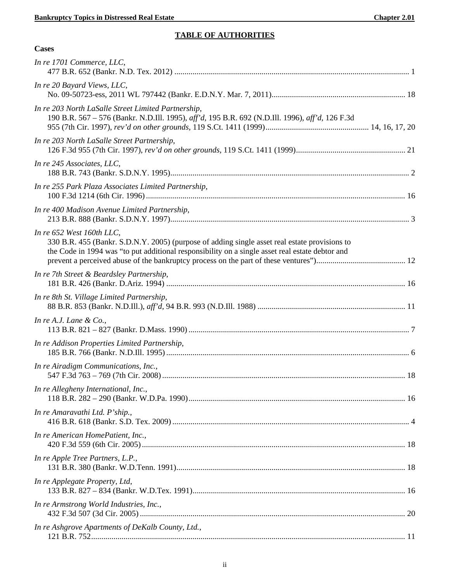## **TABLE OF AUTHORITIES**

| <b>Cases</b>                                                                                                                                                                                                                  |  |
|-------------------------------------------------------------------------------------------------------------------------------------------------------------------------------------------------------------------------------|--|
| In re 1701 Commerce, LLC,                                                                                                                                                                                                     |  |
| In re 20 Bayard Views, LLC,                                                                                                                                                                                                   |  |
| In re 203 North LaSalle Street Limited Partnership,<br>190 B.R. 567 – 576 (Bankr. N.D.Ill. 1995), aff'd, 195 B.R. 692 (N.D.Ill. 1996), aff'd, 126 F.3d                                                                        |  |
| In re 203 North LaSalle Street Partnership,                                                                                                                                                                                   |  |
| In re 245 Associates, LLC,                                                                                                                                                                                                    |  |
| In re 255 Park Plaza Associates Limited Partnership,                                                                                                                                                                          |  |
| In re 400 Madison Avenue Limited Partnership,                                                                                                                                                                                 |  |
| In re 652 West 160th LLC,<br>330 B.R. 455 (Bankr. S.D.N.Y. 2005) (purpose of adding single asset real estate provisions to<br>the Code in 1994 was "to put additional responsibility on a single asset real estate debtor and |  |
| In re 7th Street & Beardsley Partnership,                                                                                                                                                                                     |  |
| In re 8th St. Village Limited Partnership,                                                                                                                                                                                    |  |
| In re A.J. Lane & Co.,                                                                                                                                                                                                        |  |
| In re Addison Properties Limited Partnership,                                                                                                                                                                                 |  |
| In re Airadigm Communications, Inc.,                                                                                                                                                                                          |  |
| In re Allegheny International, Inc.,                                                                                                                                                                                          |  |
| In re Amaravathi Ltd. P'ship.,                                                                                                                                                                                                |  |
| In re American HomePatient, Inc.,                                                                                                                                                                                             |  |
| In re Apple Tree Partners, L.P.,                                                                                                                                                                                              |  |
| In re Applegate Property, Ltd,                                                                                                                                                                                                |  |
| In re Armstrong World Industries, Inc.,                                                                                                                                                                                       |  |
| In re Ashgrove Apartments of DeKalb County, Ltd.,                                                                                                                                                                             |  |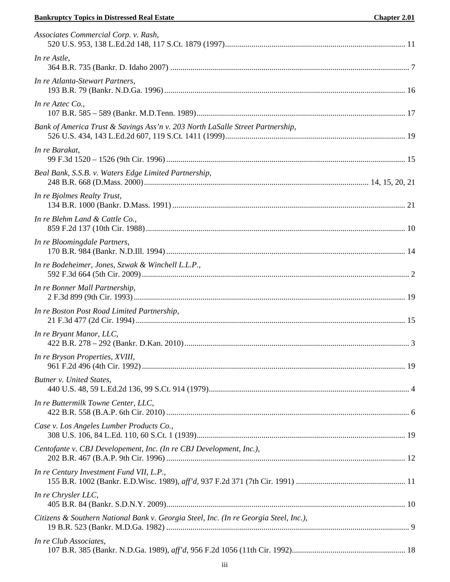## **Example 5 Superviolet State Chapter 2.01** Chapter 2.01

| Associates Commercial Corp. v. Rash,                                                  |  |
|---------------------------------------------------------------------------------------|--|
| In re Astle,                                                                          |  |
| In re Atlanta-Stewart Partners,                                                       |  |
| In re Aztec $Co$ ,                                                                    |  |
| Bank of America Trust & Savings Ass'n v. 203 North LaSalle Street Partnership,        |  |
| In re Barakat,                                                                        |  |
| Beal Bank, S.S.B. v. Waters Edge Limited Partnership,                                 |  |
| In re Bjolmes Realty Trust,                                                           |  |
| In re Blehm Land & Cattle Co.,                                                        |  |
| In re Bloomingdale Partners,                                                          |  |
| In re Bodeheimer, Jones, Szwak & Winchell L.L.P.,                                     |  |
| In re Bonner Mall Partnership,                                                        |  |
| In re Boston Post Road Limited Partnership,                                           |  |
| In re Bryant Manor, LLC,                                                              |  |
| In re Bryson Properties, XVIII,                                                       |  |
| Butner v. United States,                                                              |  |
| In re Buttermilk Towne Center, LLC,                                                   |  |
| Case v. Los Angeles Lumber Products Co.,                                              |  |
| Centofante v. CBJ Developement, Inc. (In re CBJ Development, Inc.),                   |  |
| In re Century Investment Fund VII, L.P.,                                              |  |
| In re Chrysler LLC,                                                                   |  |
| Citizens & Southern National Bank v. Georgia Steel, Inc. (In re Georgia Steel, Inc.), |  |
| In re Club Associates,                                                                |  |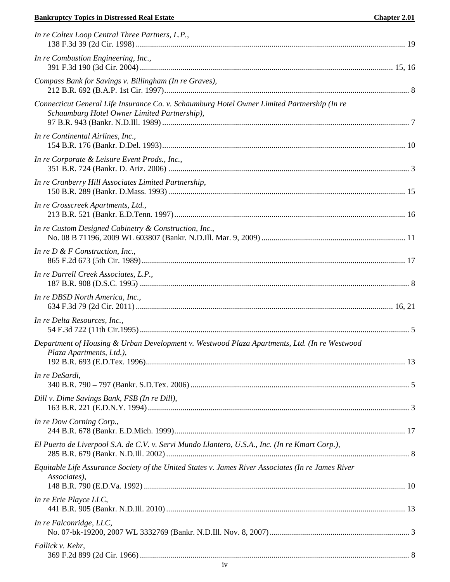## **Example 5 Superviolet Chapter 2.01** Chapter 2.01

| In re Coltex Loop Central Three Partners, L.P.,                                                                                             |  |
|---------------------------------------------------------------------------------------------------------------------------------------------|--|
| In re Combustion Engineering, Inc.,                                                                                                         |  |
| Compass Bank for Savings v. Billingham (In re Graves),                                                                                      |  |
| Connecticut General Life Insurance Co. v. Schaumburg Hotel Owner Limited Partnership (In re<br>Schaumburg Hotel Owner Limited Partnership), |  |
| In re Continental Airlines, Inc.,                                                                                                           |  |
| In re Corporate & Leisure Event Prods., Inc.,                                                                                               |  |
| In re Cranberry Hill Associates Limited Partnership,                                                                                        |  |
| In re Crosscreek Apartments, Ltd.,                                                                                                          |  |
| In re Custom Designed Cabinetry & Construction, Inc.,                                                                                       |  |
| In re $D \& F$ Construction, Inc.,                                                                                                          |  |
| In re Darrell Creek Associates, L.P.,                                                                                                       |  |
| In re DBSD North America, Inc.,                                                                                                             |  |
| In re Delta Resources, Inc.,                                                                                                                |  |
| Department of Housing & Urban Development v. Westwood Plaza Apartments, Ltd. (In re Westwood<br>Plaza Apartments, Ltd.),                    |  |
| In re DeSardi,                                                                                                                              |  |
| Dill v. Dime Savings Bank, FSB (In re Dill),                                                                                                |  |
| In re Dow Corning Corp.,                                                                                                                    |  |
| El Puerto de Liverpool S.A. de C.V. v. Servi Mundo Llantero, U.S.A., Inc. (In re Kmart Corp.),                                              |  |
| Equitable Life Assurance Society of the United States v. James River Associates (In re James River<br>Associates),                          |  |
| In re Erie Playce LLC,                                                                                                                      |  |
| In re Falconridge, LLC,                                                                                                                     |  |
| Fallick v. Kehr,                                                                                                                            |  |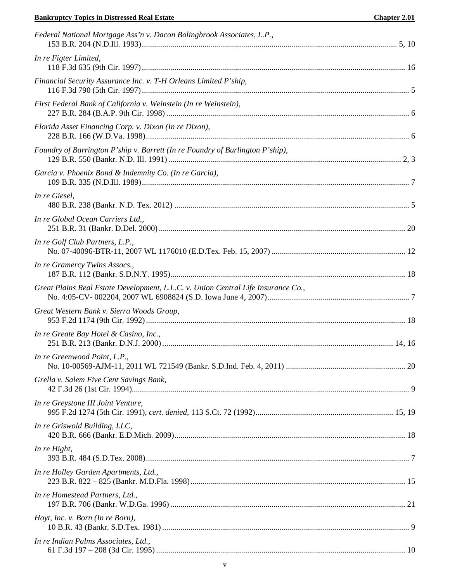## **Example 5 Superviolet Chapter 2.01** Chapter 2.01

| Federal National Mortgage Ass'n v. Dacon Bolingbrook Associates, L.P.,            |  |
|-----------------------------------------------------------------------------------|--|
| In re Figter Limited,                                                             |  |
| Financial Security Assurance Inc. v. T-H Orleans Limited P'ship,                  |  |
| First Federal Bank of California v. Weinstein (In re Weinstein),                  |  |
| Florida Asset Financing Corp. v. Dixon (In re Dixon),                             |  |
| Foundry of Barrington P'ship v. Barrett (In re Foundry of Burlington P'ship),     |  |
| Garcia v. Phoenix Bond & Indemnity Co. (In re Garcia),                            |  |
| In re Giesel,                                                                     |  |
| In re Global Ocean Carriers Ltd.,                                                 |  |
| In re Golf Club Partners, L.P.,                                                   |  |
| In re Gramercy Twins Assocs.,                                                     |  |
| Great Plains Real Estate Development, L.L.C. v. Union Central Life Insurance Co., |  |
| Great Western Bank v. Sierra Woods Group,                                         |  |
| In re Greate Bay Hotel & Casino, Inc.,                                            |  |
| In re Greenwood Point, L.P.,                                                      |  |
| Grella v. Salem Five Cent Savings Bank,                                           |  |
| In re Greystone III Joint Venture,                                                |  |
| In re Griswold Building, LLC,                                                     |  |
| In re Hight,                                                                      |  |
| In re Holley Garden Apartments, Ltd.,                                             |  |
| In re Homestead Partners, Ltd.,                                                   |  |
| Hoyt, Inc. v. Born (In re Born),                                                  |  |
| In re Indian Palms Associates, Ltd.,                                              |  |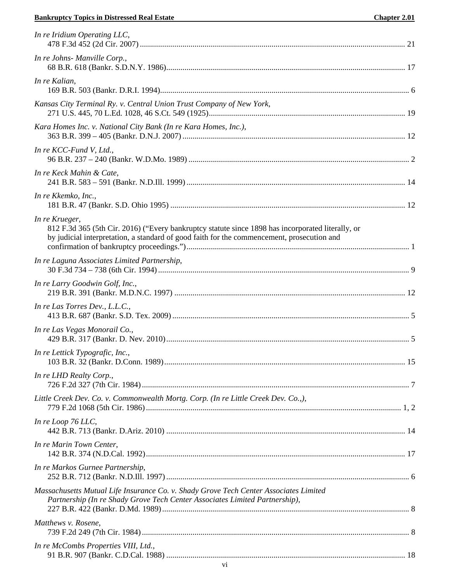## **Bankruptcy Topics in Distressed Real Estate Chapter 2.01**

| In re Iridium Operating LLC,                                                                                                                                                                                      |  |
|-------------------------------------------------------------------------------------------------------------------------------------------------------------------------------------------------------------------|--|
| In re Johns- Manville Corp.,                                                                                                                                                                                      |  |
| In re Kalian,                                                                                                                                                                                                     |  |
| Kansas City Terminal Ry. v. Central Union Trust Company of New York,                                                                                                                                              |  |
| Kara Homes Inc. v. National City Bank (In re Kara Homes, Inc.),                                                                                                                                                   |  |
| In re KCC-Fund V, Ltd.,                                                                                                                                                                                           |  |
| In re Keck Mahin & Cate,                                                                                                                                                                                          |  |
| In re Kkemko, Inc.,                                                                                                                                                                                               |  |
| In re Krueger,<br>812 F.3d 365 (5th Cir. 2016) ("Every bankruptcy statute since 1898 has incorporated literally, or<br>by judicial interpretation, a standard of good faith for the commencement, prosecution and |  |
| In re Laguna Associates Limited Partnership,                                                                                                                                                                      |  |
| In re Larry Goodwin Golf, Inc.,                                                                                                                                                                                   |  |
| In re Las Torres Dev., L.L.C.,                                                                                                                                                                                    |  |
| In re Las Vegas Monorail Co.,                                                                                                                                                                                     |  |
| In re Lettick Typografic, Inc.,                                                                                                                                                                                   |  |
| In re LHD Realty Corp.,                                                                                                                                                                                           |  |
| Little Creek Dev. Co. v. Commonwealth Mortg. Corp. (In re Little Creek Dev. Co.,),                                                                                                                                |  |
| In re Loop 76 LLC,                                                                                                                                                                                                |  |
| In re Marin Town Center,                                                                                                                                                                                          |  |
| In re Markos Gurnee Partnership,                                                                                                                                                                                  |  |
| Massachusetts Mutual Life Insurance Co. v. Shady Grove Tech Center Associates Limited<br>Partnership (In re Shady Grove Tech Center Associates Limited Partnership),                                              |  |
| Matthews v. Rosene,                                                                                                                                                                                               |  |
| In re McCombs Properties VIII, Ltd.,                                                                                                                                                                              |  |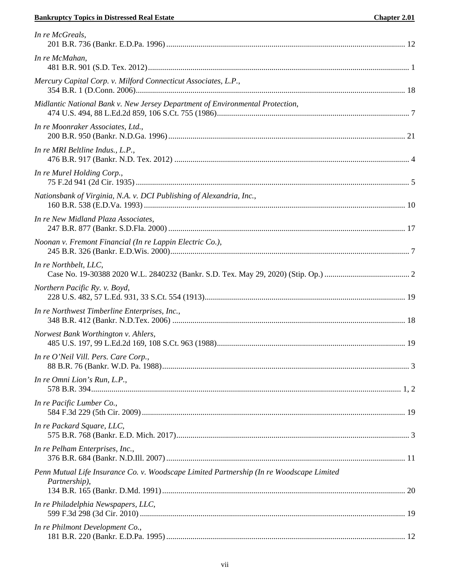## **Example 5 Superviolet State Chapter 2.01** Chapter 2.01

| <b>Chapter 2.01</b> |  |  |
|---------------------|--|--|
|---------------------|--|--|

| In re McGreals,                                                                                           |  |
|-----------------------------------------------------------------------------------------------------------|--|
| In re McMahan,                                                                                            |  |
| Mercury Capital Corp. v. Milford Connecticut Associates, L.P.,                                            |  |
| Midlantic National Bank v. New Jersey Department of Environmental Protection,                             |  |
| In re Moonraker Associates, Ltd.,                                                                         |  |
| In re MRI Beltline Indus., L.P.,                                                                          |  |
| In re Murel Holding Corp.,                                                                                |  |
| Nationsbank of Virginia, N.A. v. DCI Publishing of Alexandria, Inc.,                                      |  |
| In re New Midland Plaza Associates,                                                                       |  |
| Noonan v. Fremont Financial (In re Lappin Electric Co.),                                                  |  |
| In re Northbelt, LLC,                                                                                     |  |
| Northern Pacific Ry. v. Boyd,                                                                             |  |
| In re Northwest Timberline Enterprises, Inc.,                                                             |  |
| Norwest Bank Worthington v. Ahlers,                                                                       |  |
| In re O'Neil Vill. Pers. Care Corp.,                                                                      |  |
| In re Omni Lion's Run, L.P.,                                                                              |  |
| In re Pacific Lumber Co.,                                                                                 |  |
| In re Packard Square, LLC,                                                                                |  |
| In re Pelham Enterprises, Inc.,                                                                           |  |
| Penn Mutual Life Insurance Co. v. Woodscape Limited Partnership (In re Woodscape Limited<br>Partnership), |  |
| In re Philadelphia Newspapers, LLC,                                                                       |  |
| In re Philmont Development Co.,                                                                           |  |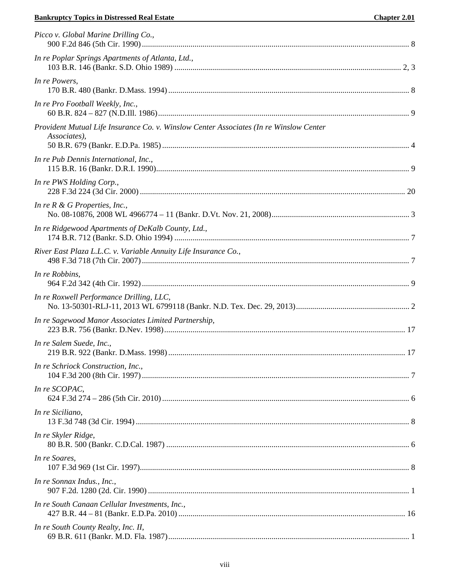## **Bankruptcy Topics in Distressed Real Estate**

| Picco v. Global Marine Drilling Co.,                                                                   |  |
|--------------------------------------------------------------------------------------------------------|--|
| In re Poplar Springs Apartments of Atlanta, Ltd.,                                                      |  |
| In re Powers,                                                                                          |  |
| In re Pro Football Weekly, Inc.,                                                                       |  |
| Provident Mutual Life Insurance Co. v. Winslow Center Associates (In re Winslow Center<br>Associates), |  |
| In re Pub Dennis International, Inc.,                                                                  |  |
| In re PWS Holding Corp.,                                                                               |  |
| In re $R \& G$ Properties, Inc.,                                                                       |  |
| In re Ridgewood Apartments of DeKalb County, Ltd.,                                                     |  |
| River East Plaza L.L.C. v. Variable Annuity Life Insurance Co.,                                        |  |
| In re Robbins,                                                                                         |  |
| In re Roxwell Performance Drilling, LLC,                                                               |  |
| In re Sagewood Manor Associates Limited Partnership,                                                   |  |
| In re Salem Suede, Inc.,                                                                               |  |
| In re Schriock Construction, Inc.,                                                                     |  |
| In re SCOPAC,                                                                                          |  |
| In re Siciliano,                                                                                       |  |
| In re Skyler Ridge,                                                                                    |  |
| In re Soares,                                                                                          |  |
| In re Sonnax Indus., Inc.,                                                                             |  |
| In re South Canaan Cellular Investments, Inc.,                                                         |  |
| In re South County Realty, Inc. II,                                                                    |  |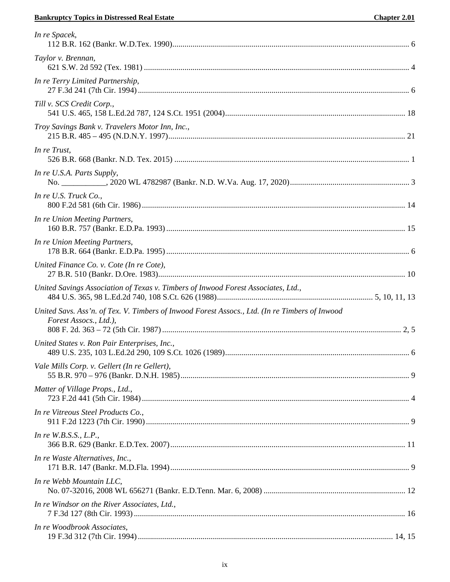## **Bankruptcy Topics in Distressed Real Estate Chapter 2.01**

| In re Spacek,                                                                                                            |  |
|--------------------------------------------------------------------------------------------------------------------------|--|
| Taylor v. Brennan,                                                                                                       |  |
| In re Terry Limited Partnership,                                                                                         |  |
| Till v. SCS Credit Corp.,                                                                                                |  |
| Troy Savings Bank v. Travelers Motor Inn, Inc.,                                                                          |  |
| In re Trust,                                                                                                             |  |
| In re U.S.A. Parts Supply,                                                                                               |  |
| In re U.S. Truck Co.,                                                                                                    |  |
| In re Union Meeting Partners,                                                                                            |  |
| In re Union Meeting Partners,                                                                                            |  |
| United Finance Co. v. Cote (In re Cote),                                                                                 |  |
| United Savings Association of Texas v. Timbers of Inwood Forest Associates, Ltd.,                                        |  |
| United Savs. Ass'n. of Tex. V. Timbers of Inwood Forest Assocs., Ltd. (In re Timbers of Inwood<br>Forest Assocs., Ltd.), |  |
| United States v. Ron Pair Enterprises, Inc.,                                                                             |  |
| Vale Mills Corp. v. Gellert (In re Gellert),                                                                             |  |
| Matter of Village Props., Ltd.,                                                                                          |  |
| In re Vitreous Steel Products Co.,                                                                                       |  |
| In re $W.B.S.S., L.P.,$                                                                                                  |  |
| In re Waste Alternatives, Inc.,                                                                                          |  |
| In re Webb Mountain LLC,                                                                                                 |  |
| In re Windsor on the River Associates, Ltd.,                                                                             |  |
| In re Woodbrook Associates,                                                                                              |  |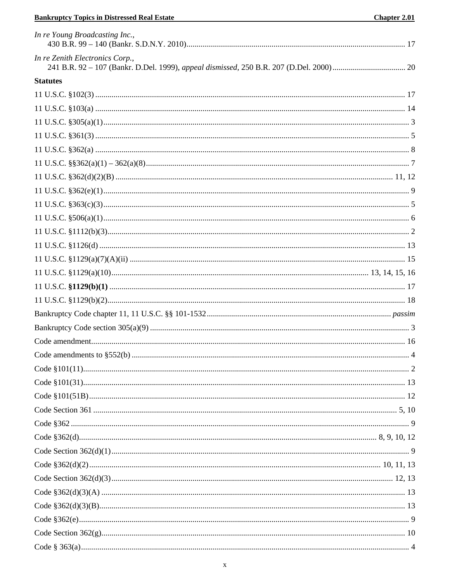## **Bankruptcy Topics in Distressed Real Estate Example 2014**

| In re Young Broadcasting Inc.,  |  |
|---------------------------------|--|
| In re Zenith Electronics Corp., |  |
| <b>Statutes</b>                 |  |
|                                 |  |
|                                 |  |
|                                 |  |
|                                 |  |
|                                 |  |
|                                 |  |
|                                 |  |
|                                 |  |
|                                 |  |
|                                 |  |
|                                 |  |
|                                 |  |
|                                 |  |
|                                 |  |
|                                 |  |
|                                 |  |
|                                 |  |
|                                 |  |
|                                 |  |
|                                 |  |
|                                 |  |
|                                 |  |
|                                 |  |
|                                 |  |
|                                 |  |
|                                 |  |
|                                 |  |
|                                 |  |
|                                 |  |
|                                 |  |
|                                 |  |
|                                 |  |
|                                 |  |
|                                 |  |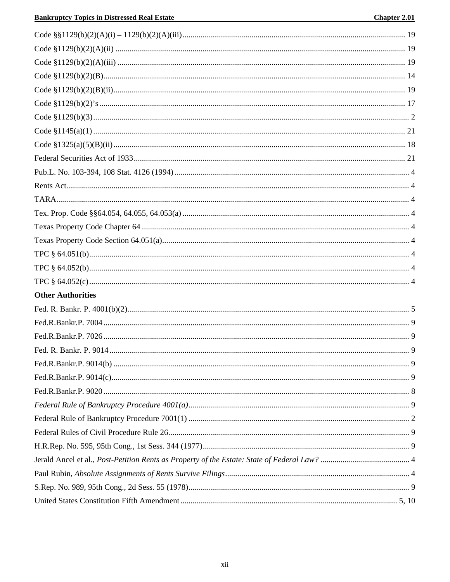| <b>Other Authorities</b> |  |
|--------------------------|--|
|                          |  |
|                          |  |
|                          |  |
|                          |  |
|                          |  |
|                          |  |
|                          |  |
|                          |  |
|                          |  |
|                          |  |
|                          |  |
|                          |  |
|                          |  |
|                          |  |
|                          |  |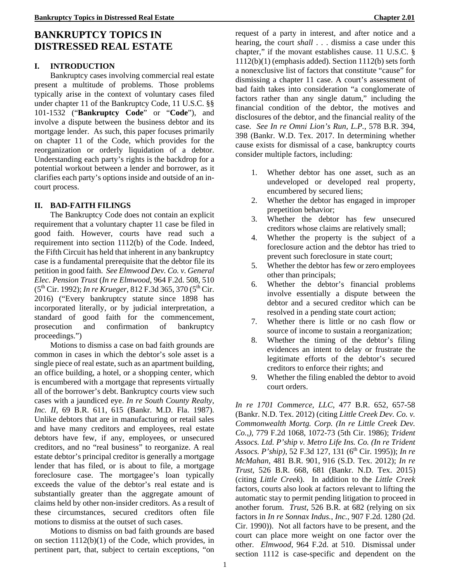# **BANKRUPTCY TOPICS IN DISTRESSED REAL ESTATE**

## **I. INTRODUCTION**

<span id="page-14-0"></span>Bankruptcy cases involving commercial real estate present a multitude of problems. Those problems typically arise in the context of voluntary cases filed under chapter 11 of the Bankruptcy Code, 11 U.S.C. §§ 101-1532 ("**Bankruptcy Code**" or "**Code**")*,* and involve a dispute between the business debtor and its mortgage lender. As such, this paper focuses primarily on chapter 11 of the Code, which provides for the reorganization or orderly liquidation of a debtor. Understanding each party's rights is the backdrop for a potential workout between a lender and borrower, as it clarifies each party's options inside and outside of an incourt process.

## **II. BAD-FAITH FILINGS**

The Bankruptcy Code does not contain an explicit requirement that a voluntary chapter 11 case be filed in good faith. However, courts have read such a requirement into section 1112(b) of the Code. Indeed, the Fifth Circuit has held that inherent in any bankruptcy case is a fundamental prerequisite that the debtor file its petition in good faith. *See Elmwood Dev. Co. v. General Elec. Pension Trust* (*In re Elmwood*, 964 F.2d. 508, 510 (5th Cir. 1992); *In re Krueger*, 812 F.3d 365, 370 (5th Cir. 2016) ("Every bankruptcy statute since 1898 has incorporated literally, or by judicial interpretation, a standard of good faith for the commencement, prosecution and confirmation of bankruptcy proceedings.")

Motions to dismiss a case on bad faith grounds are common in cases in which the debtor's sole asset is a single piece of real estate, such as an apartment building, an office building, a hotel, or a shopping center, which is encumbered with a mortgage that represents virtually all of the borrower's debt. Bankruptcy courts view such cases with a jaundiced eye. *In re South County Realty, Inc. II,* 69 B.R. 611, 615 (Bankr. M.D. Fla. 1987). Unlike debtors that are in manufacturing or retail sales and have many creditors and employees, real estate debtors have few, if any, employees, or unsecured creditors, and no "real business" to reorganize. A real estate debtor's principal creditor is generally a mortgage lender that has filed, or is about to file, a mortgage foreclosure case. The mortgagee's loan typically exceeds the value of the debtor's real estate and is substantially greater than the aggregate amount of claims held by other non-insider creditors. As a result of these circumstances, secured creditors often file motions to dismiss at the outset of such cases.

Motions to dismiss on bad faith grounds are based on section 1112(b)(1) of the Code, which provides, in pertinent part, that, subject to certain exceptions, "on request of a party in interest, and after notice and a hearing, the court *shall* . . . dismiss a case under this chapter," if the movant establishes cause. 11 U.S.C. § 1112(b)(1) (emphasis added). Section 1112(b) sets forth a nonexclusive list of factors that constitute "cause" for dismissing a chapter 11 case. A court's assessment of bad faith takes into consideration "a conglomerate of factors rather than any single datum," including the financial condition of the debtor, the motives and disclosures of the debtor, and the financial reality of the case. *See In re Omni Lion's Run, L.P.*, 578 B.R. 394, 398 (Bankr. W.D. Tex. 2017. In determining whether cause exists for dismissal of a case, bankruptcy courts consider multiple factors, including:

- 1. Whether debtor has one asset, such as an undeveloped or developed real property, encumbered by secured liens;
- 2. Whether the debtor has engaged in improper prepetition behavior;
- 3. Whether the debtor has few unsecured creditors whose claims are relatively small;
- 4. Whether the property is the subject of a foreclosure action and the debtor has tried to prevent such foreclosure in state court;
- 5. Whether the debtor has few or zero employees other than principals;
- 6. Whether the debtor's financial problems involve essentially a dispute between the debtor and a secured creditor which can be resolved in a pending state court action;
- 7. Whether there is little or no cash flow or source of income to sustain a reorganization;
- 8. Whether the timing of the debtor's filing evidences an intent to delay or frustrate the legitimate efforts of the debtor's secured creditors to enforce their rights; and
- 9. Whether the filing enabled the debtor to avoid court orders.

*In re 1701 Commerce, LLC*, 477 B.R. 652, 657-58 (Bankr. N.D. Tex. 2012) (citing *Little Creek Dev. Co. v. Commonwealth Mortg. Corp. (In re Little Creek Dev. Co.,),* 779 F.2d 1068, 1072-73 (5th Cir. 1986); *Trident Assocs. Ltd. P'ship v. Metro Life Ins. Co. (In re Trident Assocs. P'ship)*, 52 F.3d 127, 131 (6th Cir. 1995)); *In re McMahan,* 481 B.R. 901, 916 (S.D. Tex. 2012); *In re Trust*, 526 B.R. 668, 681 (Bankr. N.D. Tex. 2015) (citing *Little Creek*). In addition to the *Little Creek*  factors, courts also look at factors relevant to lifting the automatic stay to permit pending litigation to proceed in another forum. *Trust*, 526 B.R. at 682 (relying on six factors in *In re Sonnax Indus., Inc.*, 907 F.2d. 1280 (2d. Cir. 1990)). Not all factors have to be present, and the court can place more weight on one factor over the other. *Elmwood*, 964 F.2d. at 510. Dismissal under section 1112 is case-specific and dependent on the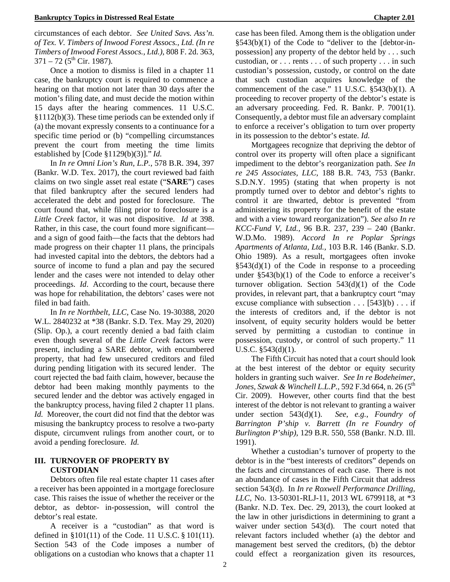circumstances of each debtor. *See United Savs. Ass'n. of Tex. V. Timbers of Inwood Forest Assocs., Ltd. (In re Timbers of Inwood Forest Assocs., Ltd.)*, 808 F. 2d. 363,  $371 - 72$  (5<sup>th</sup> Cir. 1987).

Once a motion to dismiss is filed in a chapter 11 case, the bankruptcy court is required to commence a hearing on that motion not later than 30 days after the motion's filing date, and must decide the motion within 15 days after the hearing commences. 11 U.S.C. §1112(b)(3). These time periods can be extended only if (a) the movant expressly consents to a continuance for a specific time period or (b) "compelling circumstances prevent the court from meeting the time limits established by [Code §1129(b)(3)]." *Id.*

In *In re Omni Lion's Run, L.P.*, 578 B.R. 394, 397 (Bankr. W.D. Tex. 2017), the court reviewed bad faith claims on two single asset real estate ("**SARE**") cases that filed bankruptcy after the secured lenders had accelerated the debt and posted for foreclosure. The court found that, while filing prior to foreclosure is a *Little Creek* factor, it was not dispositive. *Id* at 398. Rather, in this case, the court found more significant and a sign of good faith—the facts that the debtors had made progress on their chapter 11 plans, the principals had invested capital into the debtors, the debtors had a source of income to fund a plan and pay the secured lender and the cases were not intended to delay other proceedings. *Id*. According to the court, because there was hope for rehabilitation, the debtors' cases were not filed in bad faith.

In *In re Northbelt, LLC,* Case No. 19-30388, 2020 W.L. 2840232 at \*38 (Bankr. S.D. Tex. May 29, 2020) (Slip. Op.), a court recently denied a bad faith claim even though several of the *Little Creek* factors were present, including a SARE debtor, with encumbered property, that had few unsecured creditors and filed during pending litigation with its secured lender. The court rejected the bad faith claim, however, because the debtor had been making monthly payments to the secured lender and the debtor was actively engaged in the bankruptcy process, having filed 2 chapter 11 plans. *Id.* Moreover, the court did not find that the debtor was misusing the bankruptcy process to resolve a two-party dispute, circumvent rulings from another court, or to avoid a pending foreclosure. *Id.*

### **III. TURNOVER OF PROPERTY BY CUSTODIAN**

Debtors often file real estate chapter 11 cases after a receiver has been appointed in a mortgage foreclosure case. This raises the issue of whether the receiver or the debtor, as debtor- in-possession, will control the debtor's real estate.

A receiver is a "custodian" as that word is defined in §101(11) of the Code. 11 U.S.C. § 101(11). Section 543 of the Code imposes a number of obligations on a custodian who knows that a chapter 11

case has been filed. Among them is the obligation under §543(b)(1) of the Code to "deliver to the [debtor-inpossession] any property of the debtor held by . . . such custodian, or . . . rents . . . of such property . . . in such custodian's possession, custody, or control on the date that such custodian acquires knowledge of the commencement of the case." 11 U.S.C. §543(b)(1). A proceeding to recover property of the debtor's estate is an adversary proceeding. Fed. R. Bankr. P. 7001(1). Consequently, a debtor must file an adversary complaint to enforce a receiver's obligation to turn over property in its possession to the debtor's estate. *Id.*

Mortgagees recognize that depriving the debtor of control over its property will often place a significant impediment to the debtor's reorganization path. *See In re 245 Associates, LLC,* 188 B.R. 743, 753 (Bankr. S.D.N.Y. 1995) (stating that when property is not promptly turned over to debtor and debtor's rights to control it are thwarted, debtor is prevented "from administering its property for the benefit of the estate and with a view toward reorganization"). *See also In re KCC-Fund V, Ltd.,* 96 B.R. 237, 239 – 240 (Bankr. W.D.Mo. 1989). *Accord In re Poplar Springs Apartments of Atlanta, Ltd.,* 103 B.R. 146 (Bankr. S.D. Ohio 1989). As a result, mortgagees often invoke  $§543(d)(1)$  of the Code in response to a proceeding under  $\S$ 543(b)(1) of the Code to enforce a receiver's turnover obligation. Section 543(d)(1) of the Code provides, in relevant part, that a bankruptcy court "may excuse compliance with subsection  $\dots$  [543](b)  $\dots$  if the interests of creditors and, if the debtor is not insolvent, of equity security holders would be better served by permitting a custodian to continue in possession, custody, or control of such property." 11 U.S.C. §543(d)(1).

The Fifth Circuit has noted that a court should look at the best interest of the debtor or equity security holders in granting such waiver. *See In re Bodeheimer, Jones, Szwak & Winchell L.L.P.,* 592 F.3d 664, n. 26 (5<sup>th</sup> Cir. 2009). However, other courts find that the best interest of the debtor is not relevant to granting a waiver under section 543(d)(1). *See*, *e.g.*, *Foundry of Barrington P'ship v. Barrett (In re Foundry of Burlington P'ship)*, 129 B.R. 550, 558 (Bankr. N.D. Ill. 1991).

Whether a custodian's turnover of property to the debtor is in the "best interests of creditors" depends on the facts and circumstances of each case. There is not an abundance of cases in the Fifth Circuit that address section 543(d). In *In re Roxwell Performance Drilling, LLC,* No. 13-50301-RLJ-11, 2013 WL 6799118, at \*3 (Bankr. N.D. Tex. Dec. 29, 2013), the court looked at the law in other jurisdictions in determining to grant a waiver under section 543(d). The court noted that relevant factors included whether (a) the debtor and management best served the creditors, (b) the debtor could effect a reorganization given its resources,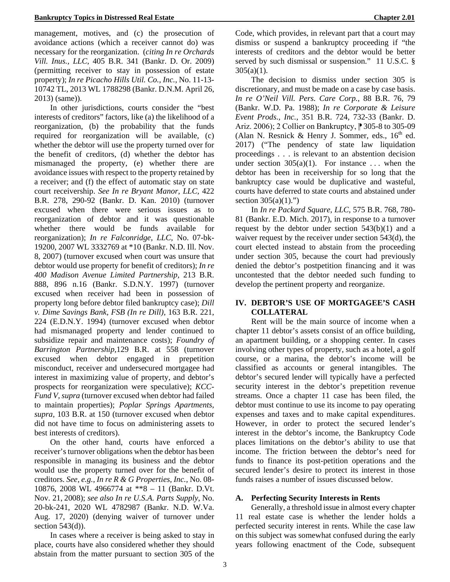management, motives, and (c) the prosecution of avoidance actions (which a receiver cannot do) was necessary for the reorganization. (*citing In re Orchards Vill. Inus., LLC,* 405 B.R. 341 (Bankr. D. Or. 2009) (permitting receiver to stay in possession of estate property); *In re Picacho Hills Util. Co., Inc.,* No. 11-13- 10742 TL, 2013 WL 1788298 (Bankr. D.N.M. April 26, 2013) (same)).

In other jurisdictions, courts consider the "best interests of creditors" factors, like (a) the likelihood of a reorganization, (b) the probability that the funds required for reorganization will be available, (c) whether the debtor will use the property turned over for the benefit of creditors, (d) whether the debtor has mismanaged the property, (e) whether there are avoidance issues with respect to the property retained by a receiver; and (f) the effect of automatic stay on state court receivership. *See In re Bryant Manor, LLC,* 422 B.R. 278, 290-92 (Bankr. D. Kan. 2010) (turnover excused when there were serious issues as to reorganization of debtor and it was questionable whether there would be funds available for reorganization); *In re Falconridge, LLC,* No. 07-bk-19200, 2007 WL 3332769 at \*10 (Bankr. N.D. Ill. Nov. 8, 2007) (turnover excused when court was unsure that debtor would use property for benefit of creditors); *In re 400 Madison Avenue Limited Partnership,* 213 B.R. 888, 896 n.16 (Bankr. S.D.N.Y. 1997) (turnover excused when receiver had been in possession of property long before debtor filed bankruptcy case); *Dill v. Dime Savings Bank, FSB (In re Dill),* 163 B.R. 221, 224 (E.D.N.Y. 1994) (turnover excused when debtor had mismanaged property and lender continued to subsidize repair and maintenance costs); *Foundry of Barrington Partnership,*129 B.R. at 558 (turnover excused when debtor engaged in prepetition misconduct, receiver and undersecured mortgagee had interest in maximizing value of property, and debtor's prospects for reorganization were speculative); *KCC-Fund V, supra* (turnover excused when debtor had failed to maintain properties); *Poplar Springs Apartments, supra,* 103 B.R. at 150 (turnover excused when debtor did not have time to focus on administering assets to best interests of creditors).

On the other hand, courts have enforced a receiver's turnover obligations when the debtor has been responsible in managing its business and the debtor would use the property turned over for the benefit of creditors. *See, e.g., In re R & G Properties, Inc.,* No. 08- 10876, 2008 WL 4966774 at \*\*8 – 11 (Bankr. D.Vt. Nov. 21, 2008); *see also In re U.S.A. Parts Supply*, No. 20-bk-241, 2020 WL 4782987 (Bankr. N.D. W.Va. Aug. 17, 2020) (denying waiver of turnover under section  $543(d)$ ).

In cases where a receiver is being asked to stay in place, courts have also considered whether they should abstain from the matter pursuant to section 305 of the Code, which provides, in relevant part that a court may dismiss or suspend a bankruptcy proceeding if "the interests of creditors and the debtor would be better served by such dismissal or suspension." 11 U.S.C. §  $305(a)(1)$ .

The decision to dismiss under section 305 is discretionary, and must be made on a case by case basis. *In re O'Neil Vill. Pers. Care Corp.*, 88 B.R. 76, 79 (Bankr. W.D. Pa. 1988); *In re Corporate & Leisure Event Prods., Inc.*, 351 B.R. 724, 732-33 (Bankr. D. Ariz. 2006); 2 Collier on Bankruptcy,  $\sqrt{2}$  305-8 to 305-09 (Alan N. Resnick & Henry J. Sommer, eds.,  $16<sup>th</sup>$  ed. 2017) ("The pendency of state law liquidation proceedings . . . is relevant to an abstention decision under section  $305(a)(1)$ . For instance ... when the debtor has been in receivership for so long that the bankruptcy case would be duplicative and wasteful, courts have deferred to state courts and abstained under section  $305(a)(1)$ .")

In *In re Packard Square, LLC,* 575 B.R. 768, 780- 81 (Bankr. E.D. Mich. 2017), in response to a turnover request by the debtor under section 543(b)(1) and a waiver request by the receiver under section 543(d), the court elected instead to abstain from the proceeding under section 305, because the court had previously denied the debtor's postpetition financing and it was uncontested that the debtor needed such funding to develop the pertinent property and reorganize.

## **IV. DEBTOR'S USE OF MORTGAGEE'S CASH COLLATERAL**

Rent will be the main source of income when a chapter 11 debtor's assets consist of an office building, an apartment building, or a shopping center. In cases involving other types of property, such as a hotel, a golf course, or a marina, the debtor's income will be classified as accounts or general intangibles. The debtor's secured lender will typically have a perfected security interest in the debtor's prepetition revenue streams. Once a chapter 11 case has been filed, the debtor must continue to use its income to pay operating expenses and taxes and to make capital expenditures. However, in order to protect the secured lender's interest in the debtor's income, the Bankruptcy Code places limitations on the debtor's ability to use that income. The friction between the debtor's need for funds to finance its post-petition operations and the secured lender's desire to protect its interest in those funds raises a number of issues discussed below.

## **A. Perfecting Security Interests in Rents**

Generally, a threshold issue in almost every chapter 11 real estate case is whether the lender holds a perfected security interest in rents. While the case law on this subject was somewhat confused during the early years following enactment of the Code, subsequent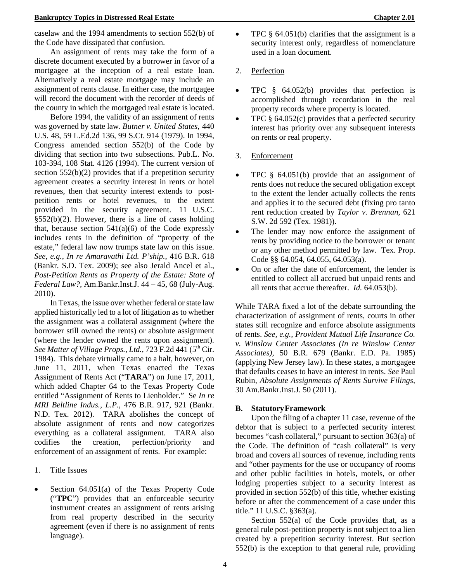caselaw and the 1994 amendments to section 552(b) of the Code have dissipated that confusion.

An assignment of rents may take the form of a discrete document executed by a borrower in favor of a mortgagee at the inception of a real estate loan. Alternatively a real estate mortgage may include an assignment of rents clause. In either case, the mortgagee will record the document with the recorder of deeds of the county in which the mortgaged real estate islocated.

Before 1994, the validity of an assignment of rents was governed by state law. *Butner v. United States,* 440 U.S. 48, 59 L.Ed.2d 136, 99 S.Ct. 914 (1979). In 1994, Congress amended section 552(b) of the Code by dividing that section into two subsections. Pub.L. No. 103-394, 108 Stat. 4126 (1994). The current version of section 552(b)(2) provides that if a prepetition security agreement creates a security interest in rents or hotel revenues, then that security interest extends to postpetition rents or hotel revenues, to the extent provided in the security agreement. 11 U.S.C.  $§552(b)(2)$ . However, there is a line of cases holding that, because section  $541(a)(6)$  of the Code expressly includes rents in the definition of "property of the estate," federal law now trumps state law on this issue. *See, e.g., In re Amaravathi Ltd. P'ship.*, 416 B.R. 618 (Bankr. S.D. Tex. 2009); see also Jerald Ancel et al., *Post-Petition Rents as Property of the Estate: State of Federal Law?,* Am.Bankr.Inst.J. 44 – 45, 68 (July-Aug. 2010).

In Texas, the issue over whether federal or state law applied historically led to a lot of litigation as to whether the assignment was a collateral assignment (where the borrower still owned the rents) or absolute assignment (where the lender owned the rents upon assignment). See Matter of Village Props., Ltd., 723 F.2d 441 (5<sup>th</sup> Cir. 1984). This debate virtually came to a halt, however, on June 11, 2011, when Texas enacted the Texas Assignment of Rents Act ("**TARA**") on June 17, 2011, which added Chapter 64 to the Texas Property Code entitled "Assignment of Rents to Lienholder." Se *In re MRI Beltline Indus., L.P.*, 476 B.R. 917, 921 (Bankr. N.D. Tex. 2012). TARA abolishes the concept of absolute assignment of rents and now categorizes everything as a collateral assignment. TARA also codifies the creation, perfection/priority and enforcement of an assignment of rents. For example:

- 1. Title Issues
- Section  $64.051(a)$  of the Texas Property Code ("**TPC**") provides that an enforceable security instrument creates an assignment of rents arising from real property described in the security agreement (even if there is no assignment of rents language).
- TPC § 64.051(b) clarifies that the assignment is a security interest only, regardless of nomenclature used in a loan document.
- 2. Perfection
- TPC § 64.052(b) provides that perfection is accomplished through recordation in the real property records where property is located.
- TPC  $\S$  64.052(c) provides that a perfected security interest has priority over any subsequent interests on rents or real property.
- 3. Enforcement
- TPC § 64.051(b) provide that an assignment of rents does not reduce the secured obligation except to the extent the lender actually collects the rents and applies it to the secured debt (fixing pro tanto rent reduction created by *Taylor v. Brennan*, 621 S.W. 2d 592 (Tex. 1981)).
- The lender may now enforce the assignment of rents by providing notice to the borrower or tenant or any other method permitted by law. Tex. Prop. Code §§ 64.054, 64.055, 64.053(a).
- On or after the date of enforcement, the lender is entitled to collect all accrued but unpaid rents and all rents that accrue thereafter. *Id.* 64.053(b).

While TARA fixed a lot of the debate surrounding the characterization of assignment of rents, courts in other states still recognize and enforce absolute assignments of rents. *See, e.g., Provident Mutual Life Insurance Co. v. Winslow Center Associates (In re Winslow Center Associates),* 50 B.R. 679 (Bankr. E.D. Pa. 1985) (applying New Jersey law). In these states, a mortgagee that defaults ceases to have an interest in rents. *See* Paul Rubin, *Absolute Assignments of Rents Survive Filings,*  30 Am.Bankr.Inst.J. 50 (2011).

## **B. StatutoryFramework**

Upon the filing of a chapter 11 case, revenue of the debtor that is subject to a perfected security interest becomes "cash collateral," pursuant to section 363(a) of the Code. The definition of "cash collateral" is very broad and covers all sources of revenue, including rents and "other payments for the use or occupancy of rooms and other public facilities in hotels, motels, or other lodging properties subject to a security interest as provided in section 552(b) of this title, whether existing before or after the commencement of a case under this title." 11 U.S.C. §363(a).

Section 552(a) of the Code provides that, as a general rule post-petition property is not subject to a lien created by a prepetition security interest. But section 552(b) is the exception to that general rule, providing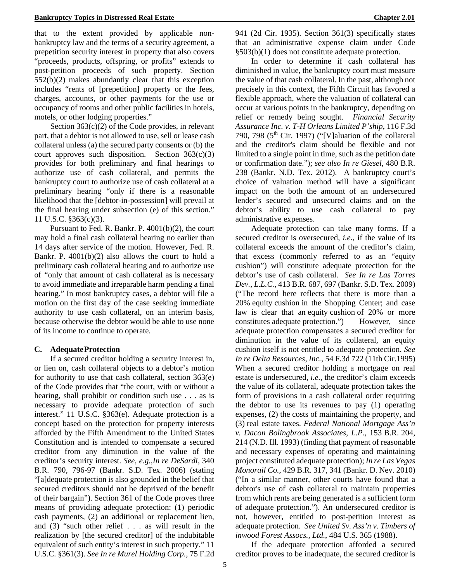that to the extent provided by applicable nonbankruptcy law and the terms of a security agreement, a prepetition security interest in property that also covers "proceeds, products, offspring, or profits" extends to post-petition proceeds of such property. Section 552(b)(2) makes abundantly clear that this exception includes "rents of [prepetition] property or the fees, charges, accounts, or other payments for the use or occupancy of rooms and other public facilities in hotels, motels, or other lodging properties."

Section 363(c)(2) of the Code provides, in relevant part, that a debtor is not allowed to use, sell or lease cash collateral unless (a) the secured party consents or (b) the court approves such disposition. Section  $363(c)(3)$ provides for both preliminary and final hearings to authorize use of cash collateral, and permits the bankruptcy court to authorize use of cash collateral at a preliminary hearing "only if there is a reasonable likelihood that the [debtor-in-possession] will prevail at the final hearing under subsection (e) of this section." 11 U.S.C. §363(c)(3).

Pursuant to Fed. R. Bankr. P. 4001(b)(2), the court may hold a final cash collateral hearing no earlier than 14 days after service of the motion. However, Fed. R. Bankr. P. 4001(b)(2) also allows the court to hold a preliminary cash collateral hearing and to authorize use of "only that amount of cash collateral as is necessary to avoid immediate and irreparable harm pending a final hearing." In most bankruptcy cases, a debtor will file a motion on the first day of the case seeking immediate authority to use cash collateral, on an interim basis, because otherwise the debtor would be able to use none of its income to continue to operate.

#### **C. AdequateProtection**

If a secured creditor holding a security interest in, or lien on, cash collateral objects to a debtor's motion for authority to use that cash collateral, section 363(e) of the Code provides that "the court, with or without a hearing, shall prohibit or condition such use . . . as is necessary to provide adequate protection of such interest." 11 U.S.C. §363(e). Adequate protection is a concept based on the protection for property interests afforded by the Fifth Amendment to the United States Constitution and is intended to compensate a secured creditor from any diminution in the value of the creditor's security interest. *See, e.g.*,*In re DeSardi,* 340 B.R. 790, 796-97 (Bankr. S.D. Tex. 2006) (stating "[a]dequate protection is also grounded in the belief that secured creditors should not be deprived of the benefit of their bargain"). Section 361 of the Code proves three means of providing adequate protection: (1) periodic cash payments, (2) an additional or replacement lien, and (3) "such other relief . . . as will result in the realization by [the secured creditor] of the indubitable equivalent of such entity's interest in such property." 11 U.S.C. §361(3). *See In re Murel Holding Corp.,* 75 F.2d

941 (2d Cir. 1935). Section 361(3) specifically states that an administrative expense claim under Code §503(b)(1) does not constitute adequate protection.

In order to determine if cash collateral has diminished in value, the bankruptcy court must measure the value of that cash collateral. In the past, although not precisely in this context, the Fifth Circuit has favored a flexible approach, where the valuation of collateral can occur at various points in the bankruptcy, depending on relief or remedy being sought. *Financial Security Assurance Inc. v. T-H Orleans Limited P'ship*, 116 F.3d 790, 798 ( $5<sup>th</sup>$  Cir. 1997) ("[V]aluation of the collateral and the creditor's claim should be flexible and not limited to a single point in time, such as the petition date or confirmation date."); *see also In re Giesel*, 480 B.R. 238 (Bankr. N.D. Tex. 2012). A bankruptcy court's choice of valuation method will have a significant impact on the both the amount of an undersecured lender's secured and unsecured claims and on the debtor's ability to use cash collateral to pay administrative expenses.

Adequate protection can take many forms. If a secured creditor is oversecured, *i.e.,* if the value of its collateral exceeds the amount of the creditor's claim, that excess (commonly referred to as an "equity cushion") will constitute adequate protection for the debtor's use of cash collateral. *See In re Las Torres Dev., L.L.C.*, 413 B.R. 687, 697 (Bankr. S.D. Tex. 2009) ("The record here reflects that there is more than a 20% equity cushion in the Shopping Center; and case law is clear that an equity cushion of 20% or more constitutes adequate protection.") However, since adequate protection compensates a secured creditor for diminution in the value of its collateral, an equity cushion itself is not entitled to adequate protection. *See In re Delta Resources, Inc.,* 54 F.3d 722 (11th Cir.1995) When a secured creditor holding a mortgage on real estate is undersecured, *i.e.,* the creditor's claim exceeds the value of its collateral, adequate protection takes the form of provisions in a cash collateral order requiring the debtor to use its revenues to pay (1) operating expenses, (2) the costs of maintaining the property, and (3) real estate taxes. *Federal National Mortgage Ass'n v. Dacon Bolingbrook Associates, L.P.,* 153 B.R. 204, 214 (N.D. Ill. 1993) (finding that payment of reasonable and necessary expenses of operating and maintaining project constituted adequate protection); *In re Las Vegas Monorail Co.*, 429 B.R. 317, 341 (Bankr. D. Nev. 2010) ("In a similar manner, other courts have found that a debtor's use of cash collateral to maintain properties from which rents are being generated is a sufficient form of adequate protection."). An undersecured creditor is not, however, entitled to post-petition interest as adequate protection. *See United Sv. Ass'n v. Timbers of inwood Forest Assocs., Ltd.*, 484 U.S. 365 (1988).

If the adequate protection afforded a secured creditor proves to be inadequate, the secured creditor is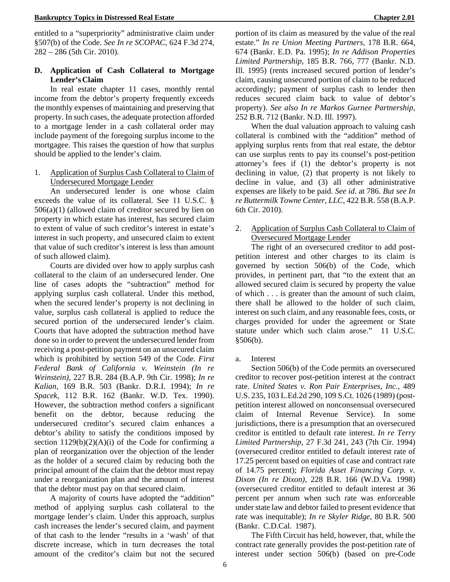entitled to a "superpriority" administrative claim under §507(b) of the Code. *See In re SCOPAC,* 624 F.3d 274, 282 – 286 (5th Cir. 2010).

## **D. Application of Cash Collateral to Mortgage Lender'sClaim**

In real estate chapter 11 cases, monthly rental income from the debtor's property frequently exceeds the monthly expenses of maintaining and preserving that property. In such cases, the adequate protection afforded to a mortgage lender in a cash collateral order may include payment of the foregoing surplus income to the mortgagee. This raises the question of how that surplus should be applied to the lender's claim.

## 1. Application of Surplus Cash Collateral to Claim of Undersecured Mortgage Lender

An undersecured lender is one whose claim exceeds the value of its collateral. See 11 U.S.C. § 506(a)(1) (allowed claim of creditor secured by lien on property in which estate has interest, has secured claim to extent of value of such creditor's interest in estate's interest in such property, and unsecured claim to extent that value of such creditor's interest is less than amount of such allowed claim).

Courts are divided over how to apply surplus cash collateral to the claim of an undersecured lender. One line of cases adopts the "subtraction" method for applying surplus cash collateral. Under this method, when the secured lender's property is not declining in value, surplus cash collateral is applied to reduce the secured portion of the undersecured lender's claim. Courts that have adopted the subtraction method have done so in order to prevent the undersecured lender from receiving a post-petition payment on an unsecured claim which is prohibited by section 549 of the Code. *First Federal Bank of California v. Weinstein (In re Weinstein),* 227 B.R. 284 (B.A.P. 9th Cir. 1998); *In re Kalian,* 169 B.R. 503 (Bankr. D.R.I. 1994); *In re Spacek,* 112 B.R. 162 (Bankr. W.D. Tex. 1990). However, the subtraction method confers a significant benefit on the debtor, because reducing the undersecured creditor's secured claim enhances a debtor's ability to satisfy the conditions imposed by section  $1129(b)(2)(A)(i)$  of the Code for confirming a plan of reorganization over the objection of the lender as the holder of a secured claim by reducing both the principal amount of the claim that the debtor must repay under a reorganization plan and the amount of interest that the debtor must pay on that secured claim.

A majority of courts have adopted the "addition" method of applying surplus cash collateral to the mortgage lender's claim. Under this approach, surplus cash increases the lender's secured claim, and payment of that cash to the lender "results in a 'wash' of that discrete increase, which in turn decreases the total amount of the creditor's claim but not the secured

portion of its claim as measured by the value of the real estate." *In re Union Meeting Partners,* 178 B.R. 664, 674 (Bankr. E.D. Pa. 1995); *In re Addison Properties Limited Partnership,* 185 B.R. 766, 777 (Bankr. N.D. Ill. 1995) (rents increased secured portion of lender's claim, causing unsecured portion of claim to be reduced accordingly; payment of surplus cash to lender then reduces secured claim back to value of debtor's property). *See also In re Markos Gurnee Partnership,*  252 B.R. 712 (Bankr. N.D. Ill. 1997).

When the dual valuation approach to valuing cash collateral is combined with the "addition" method of applying surplus rents from that real estate, the debtor can use surplus rents to pay its counsel's post-petition attorney's fees if (1) the debtor's property is not declining in value, (2) that property is not likely to decline in value, and (3) all other administrative expenses are likely to be paid. *See id.* at 786. *But see In re Buttermilk Towne Center, LLC,* 422 B.R. 558 (B.A.P. 6th Cir. 2010).

## 2. Application of Surplus Cash Collateral to Claim of Oversecured Mortgage Lender

The right of an oversecured creditor to add postpetition interest and other charges to its claim is governed by section 506(b) of the Code, which provides, in pertinent part, that "to the extent that an allowed secured claim is secured by property the value of which . . . is greater than the amount of such claim, there shall be allowed to the holder of such claim, interest on such claim, and any reasonable fees, costs, or charges provided for under the agreement or State statute under which such claim arose." 11 U.S.C. §506(b).

a. Interest

Section 506(b) of the Code permits an oversecured creditor to recover post-petition interest at the contract rate. *United States v. Ron Pair Enterprises, Inc.,* 489 U.S. 235, 103 L.Ed.2d 290, 109 S.Ct. 1026 (1989) (postpetition interest allowed on nonconsensual oversecured claim of Internal Revenue Service). In some jurisdictions, there is a presumption that an oversecured creditor is entitled to default rate interest. *In re Terry Limited Partnership,* 27 F.3d 241, 243 (7th Cir. 1994) (oversecured creditor entitled to default interest rate of 17.25 percent based on equities of case and contract rate of 14.75 percent); *Florida Asset Financing Corp. v. Dixon (In re Dixon),* 228 B.R. 166 (W.D.Va. 1998) (oversecured creditor entitled to default interest at 36 percent per annum when such rate was enforceable under state law and debtor failed to present evidence that rate was inequitable); *In re Skyler Ridge,* 80 B.R. 500 (Bankr. C.D.Cal. 1987).

The Fifth Circuit has held, however, that, while the contract rate generally provides the post-petition rate of interest under section 506(b) (based on pre-Code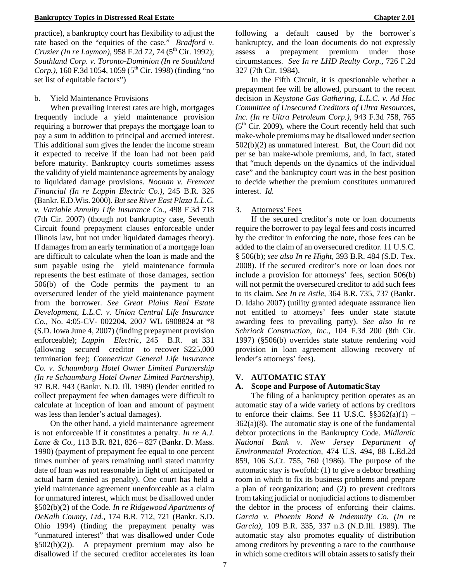practice), a bankruptcy court has flexibility to adjust the rate based on the "equities of the case." *Bradford v. Cruzier (In re Laymon)*, 958 F.2d 72, 74 (5<sup>th</sup> Cir. 1992); *Southland Corp. v. Toronto-Dominion (In re Southland Corp.*), 160 F.3d 1054, 1059 (5<sup>th</sup> Cir. 1998) (finding "no set list of equitable factors")

## b. Yield Maintenance Provisions

When prevailing interest rates are high, mortgages frequently include a yield maintenance provision requiring a borrower that prepays the mortgage loan to pay a sum in addition to principal and accrued interest. This additional sum gives the lender the income stream it expected to receive if the loan had not been paid before maturity. Bankruptcy courts sometimes assess the validity of yield maintenance agreements by analogy to liquidated damage provisions. *Noonan v. Fremont Financial (In re Lappin Electric Co.),* 245 B.R. 326 (Bankr. E.D.Wis. 2000). *But see River East Plaza L.L.C. v. Variable Annuity Life Insurance Co.,* 498 F.3d 718 (7th Cir. 2007) (though not bankruptcy case, Seventh Circuit found prepayment clauses enforceable under Illinois law, but not under liquidated damages theory). If damages from an early termination of a mortgage loan are difficult to calculate when the loan is made and the sum payable using the yield maintenance formula represents the best estimate of those damages, section 506(b) of the Code permits the payment to an oversecured lender of the yield maintenance payment from the borrower. *See Great Plains Real Estate Development, L.L.C. v. Union Central Life Insurance Co.,* No. 4:05-CV- 002204, 2007 WL 6908824 at \*8 (S.D. Iowa June 4, 2007) (finding prepayment provision enforceable); *Lappin Electric,* 245 B.R. at 331 (allowing secured creditor to recover \$225,000 termination fee); *Connecticut General Life Insurance Co. v. Schaumburg Hotel Owner Limited Partnership (In re Schaumburg Hotel Owner Limited Partnership),*  97 B.R. 943 (Bankr. N.D. Ill. 1989) (lender entitled to collect prepayment fee when damages were difficult to calculate at inception of loan and amount of payment was less than lender's actual damages).

On the other hand, a yield maintenance agreement is not enforceable if it constitutes a penalty. *In re A.J. Lane & Co.,* 113 B.R. 821, 826 – 827 (Bankr. D. Mass. 1990) (payment of prepayment fee equal to one percent times number of years remaining until stated maturity date of loan was not reasonable in light of anticipated or actual harm denied as penalty). One court has held a yield maintenance agreement unenforceable as a claim for unmatured interest, which must be disallowed under §502(b)(2) of the Code. *In re Ridgewood Apartments of DeKalb County, Ltd.,* 174 B.R. 712, 721 (Bankr. S.D. Ohio 1994) (finding the prepayment penalty was "unmatured interest" that was disallowed under Code §502(b)(2)). A prepayment premium may also be disallowed if the secured creditor accelerates its loan

following a default caused by the borrower's bankruptcy, and the loan documents do not expressly assess a prepayment premium under those circumstances. *See In re LHD Realty Corp.,* 726 F.2d 327 (7th Cir. 1984).

In the Fifth Circuit, it is questionable whether a prepayment fee will be allowed, pursuant to the recent decision in *Keystone Gas Gathering, L.L.C. v. Ad Hoc Committee of Unsecured Creditors of Ultra Resources, Inc. (In re Ultra Petroleum Corp.)*, 943 F.3d 758, 765  $(5<sup>th</sup> Cir. 2009)$ , where the Court recently held that such make-whole premiums may be disallowed under section 502(b)(2) as unmatured interest. But, the Court did not per se ban make-whole premiums, and, in fact, stated that "much depends on the dynamics of the individual case" and the bankruptcy court was in the best position to decide whether the premium constitutes unmatured interest. *Id.*

## 3. Attorneys'Fees

If the secured creditor's note or loan documents require the borrower to pay legal fees and costs incurred by the creditor in enforcing the note, those fees can be added to the claim of an oversecured creditor. 11 U.S.C. § 506(b); *see also In re Hight,* 393 B.R. 484 (S.D. Tex. 2008). If the secured creditor's note or loan does not include a provision for attorneys' fees, section 506(b) will not permit the oversecured creditor to add such fees to its claim. *See In re Astle,* 364 B.R. 735, 737 (Bankr. D. Idaho 2007) (utility granted adequate assurance lien not entitled to attorneys' fees under state statute awarding fees to prevailing party). *See also In re Schriock Construction, Inc.,* 104 F.3d 200 (8th Cir. 1997) (§506(b) overrides state statute rendering void provision in loan agreement allowing recovery of lender's attorneys' fees).

## **V. AUTOMATIC STAY**

## **A. Scope and Purpose of AutomaticStay**

The filing of a bankruptcy petition operates as an automatic stay of a wide variety of actions by creditors to enforce their claims. See 11 U.S.C.  $\S$  $\S362(a)(1)$  –  $362(a)(8)$ . The automatic stay is one of the fundamental debtor protections in the Bankruptcy Code. *Midlantic National Bank v. New Jersey Department of Environmental Protection,* 474 U.S. 494, 88 L.Ed.2d 859, 106 S.Ct. 755, 760 (1986). The purpose of the automatic stay is twofold: (1) to give a debtor breathing room in which to fix its business problems and prepare a plan of reorganization; and (2) to prevent creditors from taking judicial or nonjudicial actions to dismember the debtor in the process of enforcing their claims. *Garcia v. Phoenix Bond & Indemnity Co. (In re Garcia),* 109 B.R. 335, 337 n.3 (N.D.Ill. 1989). The automatic stay also promotes equality of distribution among creditors by preventing a race to the courthouse in which some creditors will obtain assets to satisfy their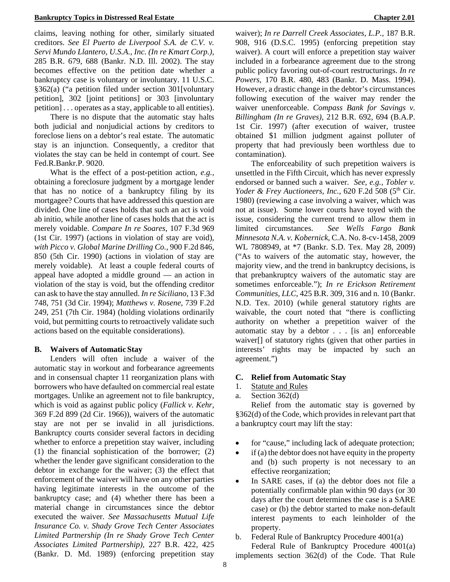claims, leaving nothing for other, similarly situated creditors. *See El Puerto de Liverpool S.A. de C.V. v. Servi Mundo Llantero, U.S.A., Inc. (In re Kmart Corp.),*  285 B.R. 679, 688 (Bankr. N.D. Ill. 2002). The stay becomes effective on the petition date whether a bankruptcy case is voluntary or involuntary. 11 U.S.C. §362(a) ("a petition filed under section 301[voluntary petition], 302 [joint petitions] or 303 [involuntary petition] . . . operates as a stay, applicable to all entities).

There is no dispute that the automatic stay halts both judicial and nonjudicial actions by creditors to foreclose liens on a debtor's real estate. The automatic stay is an injunction. Consequently, a creditor that violates the stay can be held in contempt of court. See Fed.R.Bankr.P. 9020.

What is the effect of a post-petition action, *e.g.,*  obtaining a foreclosure judgment by a mortgage lender that has no notice of a bankruptcy filing by its mortgagee? Courts that have addressed this question are divided. One line of cases holds that such an act is void ab initio, while another line of cases holds that the act is merely voidable. *Compare In re Soares,* 107 F.3d 969 (1st Cir. 1997) (actions in violation of stay are void), *with Picco v. Global Marine Drilling Co.,* 900 F.2d 846, 850 (5th Cir. 1990) (actions in violation of stay are merely voidable). At least a couple federal courts of appeal have adopted a middle ground — an action in violation of the stay is void, but the offending creditor can ask to have the stay annulled. *In re Siciliano,* 13 F.3d 748, 751 (3d Cir. 1994); *Matthews v. Rosene,* 739 F.2d 249, 251 (7th Cir. 1984) (holding violations ordinarily void, but permitting courts to retroactively validate such actions based on the equitable considerations).

#### **B. Waivers of AutomaticStay**

Lenders will often include a waiver of the automatic stay in workout and forbearance agreements and in consensual chapter 11 reorganization plans with borrowers who have defaulted on commercial real estate mortgages. Unlike an agreement not to file bankruptcy, which is void as against public policy (*Fallick v. Kehr,*  369 F.2d 899 (2d Cir. 1966)), waivers of the automatic stay are not per se invalid in all jurisdictions. Bankruptcy courts consider several factors in deciding whether to enforce a prepetition stay waiver, including (1) the financial sophistication of the borrower; (2) whether the lender gave significant consideration to the debtor in exchange for the waiver; (3) the effect that enforcement of the waiver will have on any other parties having legitimate interests in the outcome of the bankruptcy case; and (4) whether there has been a material change in circumstances since the debtor executed the waiver. *See Massachusetts Mutual Life Insurance Co. v. Shady Grove Tech Center Associates Limited Partnership (In re Shady Grove Tech Center Associates Limited Partnership),* 227 B.R. 422, 425 (Bankr. D. Md. 1989) (enforcing prepetition stay

waiver); *In re Darrell Creek Associates, L.P.,* 187 B.R. 908, 916 (D.S.C. 1995) (enforcing prepetition stay waiver). A court will enforce a prepetition stay waiver included in a forbearance agreement due to the strong public policy favoring out-of-court restructurings. *In re Powers,* 170 B.R. 480, 483 (Bankr. D. Mass. 1994). However, a drastic change in the debtor's circumstances following execution of the waiver may render the waiver unenforceable. *Compass Bank for Savings v. Billingham (In re Graves),* 212 B.R. 692, 694 (B.A.P. 1st Cir. 1997) (after execution of waiver, trustee obtained \$1 million judgment against polluter of property that had previously been worthless due to contamination).

The enforceability of such prepetition waivers is unsettled in the Fifth Circuit, which has never expressly endorsed or banned such a waiver. *See, e.g., Tobler v. Yoder & Frey Auctioneers, Inc., 620 F.2d 508 (5<sup>th</sup> Cir.* 1980) (reviewing a case involving a waiver, which was not at issue).Some lower courts have toyed with the issue, considering the current trend to allow them in limited circumstances. *See Wells Fargo Bank Minnesota N.A. v. Kobernick*, C.A. No. 8-cv-1458, 2009 WL 7808949, at \*7 (Bankr. S.D. Tex. May 28, 2009) ("As to waivers of the automatic stay, however, the majority view, and the trend in bankruptcy decisions, is that prebankruptcy waivers of the automatic stay are sometimes enforceable."); *In re Erickson Retirement Communities, LLC*, 425 B.R. 309, 316 and n. 10 (Bankr. N.D. Tex. 2010) (while general statutory rights are waivable, the court noted that "there is conflicting authority on whether a prepetition waiver of the automatic stay by a debtor . . . [is an] enforceable waiver[] of statutory rights (given that other parties in interests' rights may be impacted by such an agreement.")

#### **C. Relief from Automatic Stay**

- 1. Statute and Rules
- a. Section 362(d)

Relief from the automatic stay is governed by §362(d) of the Code, which provides in relevant part that a bankruptcy court may lift the stay:

- for "cause," including lack of adequate protection;
- if (a) the debtor does not have equity in the property and (b) such property is not necessary to an effective reorganization;
- In SARE cases, if (a) the debtor does not file a potentially confirmable plan within 90 days (or 30 days after the court determines the case is a SARE case) or (b) the debtor started to make non-default interest payments to each leinholder of the property.
- b. Federal Rule of Bankruptcy Procedure 4001(a)

Federal Rule of Bankruptcy Procedure 4001(a) implements section 362(d) of the Code. That Rule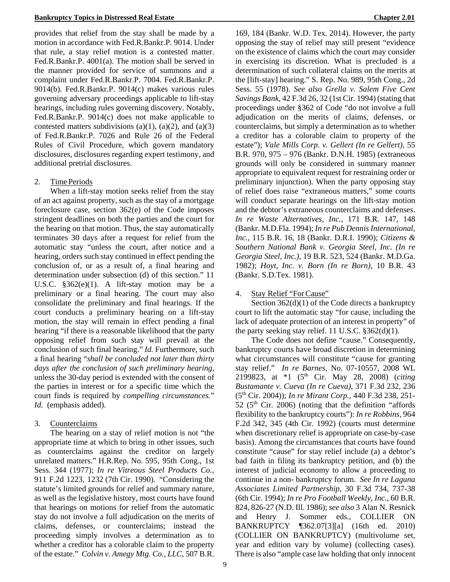provides that relief from the stay shall be made by a motion in accordance with Fed.R.Bankr.P. 9014. Under that rule, a stay relief motion is a contested matter. Fed.R.Bankr.P. 4001(a). The motion shall be served in the manner provided for service of summons and a complaint under Fed.R.Bankr.P. 7004. Fed.R.Bankr.P. 9014(b). Fed.R.Bankr.P. 9014(c) makes various rules governing adversary proceedings applicable to lift-stay hearings, including rules governing discovery. Notably, Fed.R.Bankr.P. 9014(c) does not make applicable to contested matters subdivisions (a)(1), (a)(2), and (a)(3) of Fed.R.Bankr.P. 7026 and Rule 26 of the Federal Rules of Civil Procedure, which govern mandatory disclosures, disclosures regarding expert testimony, and additional pretrial disclosures.

## 2. Time Periods

When a lift-stay motion seeks relief from the stay of an act against property, such as the stay of a mortgage foreclosure case, section 362(e) of the Code imposes stringent deadlines on both the parties and the court for the hearing on that motion. Thus, the stay automatically terminates 30 days after a request for relief from the automatic stay "unless the court, after notice and a hearing, orders such stay continued in effect pending the conclusion of, or as a result of, a final hearing and determination under subsection (d) of this section." 11 U.S.C. §362(e)(1). A lift-stay motion may be a preliminary or a final hearing. The court may also consolidate the preliminary and final hearings. If the court conducts a preliminary hearing on a lift-stay motion, the stay will remain in effect pending a final hearing "if there is a reasonable likelihood that the party opposing relief from such stay will prevail at the conclusion of such final hearing." *Id.* Furthermore, such a final hearing "*shall be concluded not later than thirty days after the conclusion of such preliminary hearing,*  unless the 30-day period is extended with the consent of the parties in interest or for a specific time which the court finds is required by *compelling circumstances.*" *Id.* (emphasis added).

## 3. Counterclaims

The hearing on a stay of relief motion is not "the appropriate time at which to bring in other issues, such as counterclaims against the creditor on largely unrelated matters." H.R.Rep. No. 595, 95th Cong., 1st Sess. 344 (1977); *In re Vitreous Steel Products Co.,* 911 F.2d 1223, 1232 (7th Cir. 1990). "Considering the statute's limited grounds for relief and summary nature, as well as the legislative history, most courts have found that hearings on motions for relief from the automatic stay do not involve a full adjudication on the merits of claims, defenses, or counterclaims; instead the proceeding simply involves a determination as to whether a creditor has a colorable claim to the property of the estate." *Colvin v. Amegy Mtg. Co., LLC*, 507 B.R.

169, 184 (Bankr. W.D. Tex. 2014). However, the party opposing the stay of relief may still present "evidence on the existence of claims which the court may consider in exercising its discretion. What is precluded is a determination of such collateral claims on the merits at the [lift-stay] hearing." S. Rep. No. 989, 95th Cong., 2d Sess. 55 (1978). *See also Grella v. Salem Five Cent Savings Bank,* 42 F.3d 26, 32 (1st Cir. 1994) (stating that proceedings under §362 of Code "do not involve a full adjudication on the merits of claims, defenses, or counterclaims, but simply a determination as to whether a creditor has a colorable claim to property of the estate"); *Vale Mills Corp. v. Gellert (In re Gellert),* 55 B.R. 970, 975 – 976 (Bankr. D.N.H. 1985) (extraneous grounds will only be considered in summary manner appropriate to equivalent request for restraining order or preliminary injunction). When the party opposing stay of relief does raise "extraneous matters," some courts will conduct separate hearings on the lift-stay motion and the debtor's extraneous counterclaims and defenses. *In re Waste Alternatives, Inc.,* 171 B.R. 147, 148 (Bankr. M.D.Fla. 1994); *In re Pub Dennis International, Inc.,* 115 B.R. 16, 18 (Bankr. D.R.I. 1990); *Citizens & Southern National Bank v. Georgia Steel, Inc. (In re Georgia Steel, Inc.),* 19 B.R. 523, 524 (Bankr. M.D.Ga. 1982); *Hoyt, Inc. v. Born (In re Born),* 10 B.R. 43 (Bankr. S.D.Tex. 1981).

## 4. Stay Relief "ForCause"

Section  $362(d)(1)$  of the Code directs a bankruptcy court to lift the automatic stay "for cause, including the lack of adequate protection of an interest in property" of the party seeking stay relief. 11 U.S.C.  $\S 362(d)(1)$ .

The Code does not define "cause." Consequently, bankruptcy courts have broad discretion in determining what circumstances will constitute "cause for granting stay relief." *In re Barnes*, No. 07-10557, 2008 WL 2199823, at \*1 (5th Cir. May 28, 2008) (*citing Bustamante v. Cueva (In re Cueva)*, 371 F.3d 232, 236 (5th Cir. 2004)); *In re Mirant Corp.*, 440 F.3d 238, 251-  $52$  ( $5<sup>th</sup>$  Cir. 2006) (noting that the definition "affords flexibility to the bankruptcy courts"): *In re Robbins,* 964 F.2d 342, 345 (4th Cir. 1992) (courts must determine when discretionary relief is appropriate on case-by-case basis). Among the circumstances that courts have found constitute "cause" for stay relief include (a) a debtor's bad faith in filing its bankruptcy petition, and (b) the interest of judicial economy to allow a proceeding to continue in a non- bankruptcy forum. *See In re Laguna Associates Limited Partnership,* 30 F.3d 734, 737-38 (6th Cir. 1994); *In re Pro Football Weekly, Inc.,* 60 B.R. 824, 826-27 (N.D. Ill. 1986); *see also* 3 Alan N. Resnick and Henry J. Sommer eds., COLLIER ON BANKRUPTCY ¶362.07[3][a] (16th ed. 2010) (COLLIER ON BANKRUPTCY) (multivolume set, year and edition vary by volume) (collecting cases). There is also "ample case law holding that only innocent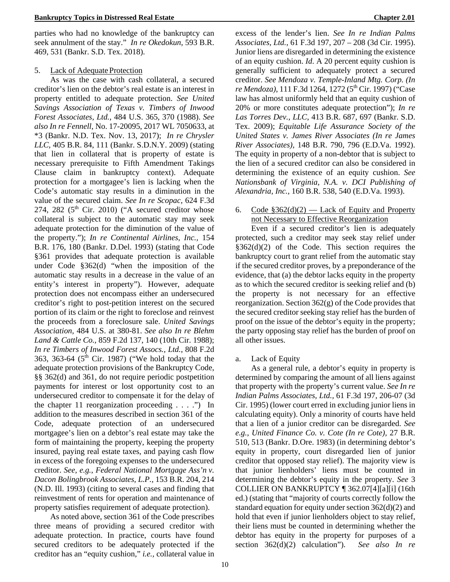parties who had no knowledge of the bankruptcy can seek annulment of the stay." *In re Okedokun*, 593 B.R. 469, 531 (Bankr. S.D. Tex. 2018).

### 5. Lack of Adequate Protection

As was the case with cash collateral, a secured creditor's lien on the debtor's real estate is an interest in property entitled to adequate protection. *See United Savings Association of Texas v. Timbers of Inwood Forest Associates, Ltd.,* 484 U.S. 365, 370 (1988). *See also In re Fennell*, No. 17-20095, 2017 WL 7050633, at \*3 (Bankr. N.D. Tex. Nov. 13, 2017); *In re Chrysler LLC,* 405 B.R. 84, 111 (Bankr. S.D.N.Y. 2009) (stating that lien in collateral that is property of estate is necessary prerequisite to Fifth Amendment Takings Clause claim in bankruptcy context). Adequate protection for a mortgagee's lien is lacking when the Code's automatic stay results in a diminution in the value of the secured claim. *See In re Scopac*, 624 F.3d 274, 282 ( $5<sup>th</sup>$  Cir. 2010) ("A secured creditor whose collateral is subject to the automatic stay may seek adequate protection for the diminution of the value of the property."); *In re Continental Airlines, Inc.,* 154 B.R. 176, 180 (Bankr. D.Del. 1993) (stating that Code §361 provides that adequate protection is available under Code §362(d) "when the imposition of the automatic stay results in a decrease in the value of an entity's interest in property"). However, adequate protection does not encompass either an undersecured creditor's right to post-petition interest on the secured portion of its claim or the right to foreclose and reinvest the proceeds from a foreclosure sale. *United Savings Association,* 484 U.S. at 380-81. *See also In re Blehm Land & Cattle Co.,* 859 F.2d 137, 140 (10th Cir. 1988); *In re Timbers of Inwood Forest Assocs., Ltd.*, 808 F.2d 363, 363-64 ( $5<sup>th</sup>$  Cir. 1987) ("We hold today that the adequate protection provisions of the Bankruptcy Code, §§ 362(d) and 361, do not require periodic postpetition payments for interest or lost opportunity cost to an undersecured creditor to compensate it for the delay of the chapter 11 reorganization proceeding  $\dots$  .") In addition to the measures described in section 361 of the Code, adequate protection of an undersecured mortgagee's lien on a debtor's real estate may take the form of maintaining the property, keeping the property insured, paying real estate taxes, and paying cash flow in excess of the foregoing expenses to the undersecured creditor. *See, e.g., Federal National Mortgage Ass'n v. Dacon Bolingbrook Associates, L.P.,* 153 B.R. 204, 214 (N.D. Ill. 1993) (citing to several cases and finding that reinvestment of rents for operation and maintenance of property satisfies requirement of adequate protection).

As noted above, section 361 of the Code prescribes three means of providing a secured creditor with adequate protection. In practice, courts have found secured creditors to be adequately protected if the creditor has an "equity cushion," *i.e.,* collateral value in

excess of the lender's lien. *See In re Indian Palms Associates, Ltd.,* 61 F.3d 197, 207 – 208 (3d Cir. 1995). Junior liens are disregarded in determining the existence of an equity cushion. *Id*. A 20 percent equity cushion is generally sufficient to adequately protect a secured creditor. *See Mendoza v. Temple-Inland Mtg. Corp. (In re Mendoza*), 111 F.3d 1264, 1272 (5<sup>th</sup> Cir. 1997) ("Case law has almost uniformly held that an equity cushion of 20% or more constitutes adequate protection"); *In re Las Torres Dev., LLC*, 413 B.R. 687, 697 (Bankr. S.D. Tex. 2009); *Equitable Life Assurance Society of the United States v. James River Associates (In re James River Associates),* 148 B.R. 790, 796 (E.D.Va. 1992). The equity in property of a non-debtor that is subject to the lien of a secured creditor can also be considered in determining the existence of an equity cushion. *See Nationsbank of Virginia, N.A. v. DCI Publishing of Alexandria, Inc.,* 160 B.R. 538, 540 (E.D.Va. 1993).

### 6. Code  $$362(d)(2)$  — Lack of Equity and Property not Necessary to Effective Reorganization

Even if a secured creditor's lien is adequately protected, such a creditor may seek stay relief under  $§362(d)(2)$  of the Code. This section requires the bankruptcy court to grant relief from the automatic stay if the secured creditor proves, by a preponderance of the evidence, that (a) the debtor lacks equity in the property as to which the secured creditor is seeking relief and (b) the property is not necessary for an effective reorganization. Section  $362(g)$  of the Code provides that the secured creditor seeking stay relief has the burden of proof on the issue of the debtor's equity in the property; the party opposing stay relief has the burden of proof on all other issues.

a. Lack of Equity

As a general rule, a debtor's equity in property is determined by comparing the amount of all liens against that property with the property's current value. *See In re Indian Palms Associates, Ltd.,* 61 F.3d 197, 206-07 (3d Cir. 1995) (lower court erred in excluding junior liens in calculating equity). Only a minority of courts have held that a lien of a junior creditor can be disregarded. *See e.g., United Finance Co. v. Cote (In re Cote),* 27 B.R. 510, 513 (Bankr. D.Ore. 1983) (in determining debtor's equity in property, court disregarded lien of junior creditor that opposed stay relief). The majority view is that junior lienholders' liens must be counted in determining the debtor's equity in the property. *See* 3 COLLIER ON BANKRUPTCY ¶ 362.07[4][a][i] (16th ed.) (stating that "majority of courts correctly follow the standard equation for equity under section 362(d)(2) and hold that even if junior lienholders object to stay relief, their liens must be counted in determining whether the debtor has equity in the property for purposes of a section 362(d)(2) calculation"). *See also In re*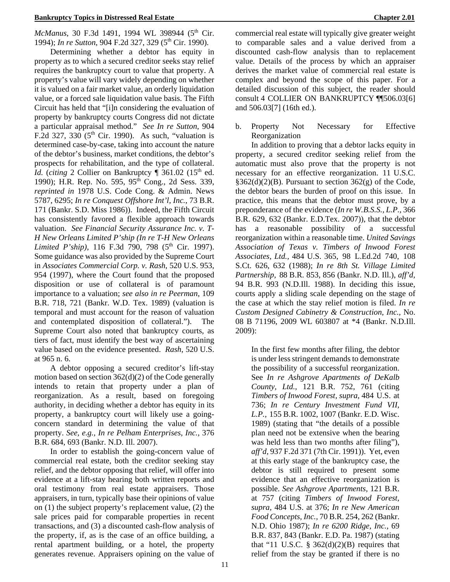#### **Bankruptcy Topics in Distressed Real Estate Chapter 2.01**

*McManus*, 30 F.3d 1491, 1994 WL 398944 (5<sup>th</sup> Cir. 1994); *In re Sutton*, 904 F.2d 327, 329 (5<sup>th</sup> Cir. 1990).

Determining whether a debtor has equity in property as to which a secured creditor seeks stay relief requires the bankruptcy court to value that property. A property's value will vary widely depending on whether it is valued on a fair market value, an orderly liquidation value, or a forced sale liquidation value basis. The Fifth Circuit has held that "[i]n considering the evaluation of property by bankruptcy courts Congress did not dictate a particular appraisal method." *See In re Sutton*, 904 F.2d 327, 330  $(5<sup>th</sup>$  Cir. 1990). As such, "valuation is determined case-by-case, taking into account the nature of the debtor's business, market conditions, the debtor's prospects for rehabilitation, and the type of collateral. *Id.* (*citing* 2 Collier on Bankruptcy  $\int$  361.02 (15<sup>th</sup> ed. 1990); H.R. Rep. No. 595, 95<sup>th</sup> Cong., 2d Sess. 339, *reprinted in* 1978 U.S. Code Cong. & Admin. News 5787, 6295; *In re Conquest Offshore Int'l, Inc.*, 73 B.R. 171 (Bankr. S.D. Miss 1986)). Indeed, the Fifth Circuit has consistently favored a flexible approach towards valuation. *See Financial Security Assurance Inc. v. T-H New Orleans Limited P'ship (In re T-H New Orleans Limited P'ship*), 116 F.3d 790, 798 (5<sup>th</sup> Cir. 1997). Some guidance was also provided by the Supreme Court in *Associates Commercial Corp. v. Rash*, 520 U.S. 953, 954 (1997), where the Court found that the proposed disposition or use of collateral is of paramount importance to a valuation; *see also in re Peerman*, 109 B.R. 718, 721 (Bankr. W.D. Tex. 1989) (valuation is temporal and must account for the reason of valuation and contemplated disposition of collateral."). The Supreme Court also noted that bankruptcy courts, as tiers of fact, must identify the best way of ascertaining value based on the evidence presented. *Rash*, 520 U.S. at 965 n. 6.

A debtor opposing a secured creditor's lift-stay motion based on section 362(d)(2) of the Code generally intends to retain that property under a plan of reorganization. As a result, based on foregoing authority*,* in deciding whether a debtor has equity in its property, a bankruptcy court will likely use a goingconcern standard in determining the value of that property. *See, e.g., In re Pelham Enterprises, Inc.,* 376 B.R. 684, 693 (Bankr. N.D. Ill. 2007).

In order to establish the going-concern value of commercial real estate, both the creditor seeking stay relief, and the debtor opposing that relief, will offer into evidence at a lift-stay hearing both written reports and oral testimony from real estate appraisers. Those appraisers, in turn, typically base their opinions of value on (1) the subject property's replacement value, (2) the sale prices paid for comparable properties in recent transactions, and (3) a discounted cash-flow analysis of the property, if, as is the case of an office building, a rental apartment building, or a hotel, the property generates revenue. Appraisers opining on the value of commercial real estate will typically give greater weight to comparable sales and a value derived from a discounted cash-flow analysis than to replacement value. Details of the process by which an appraiser derives the market value of commercial real estate is complex and beyond the scope of this paper. For a detailed discussion of this subject, the reader should consult 4 COLLIER ON BANKRUPTCY ¶¶506.03[6] and 506.03[7] (16th ed.).

b. Property Not Necessary for Effective Reorganization

In addition to proving that a debtor lacks equity in property, a secured creditor seeking relief from the automatic must also prove that the property is not necessary for an effective reorganization. 11 U.S.C.  $§362(d)(2)(B)$ . Pursuant to section 362(g) of the Code, the debtor bears the burden of proof on this issue. In practice, this means that the debtor must prove, by a preponderance of the evidence (*In re W.B.S.S., L.P.,* 366 B.R. 629, 632 (Bankr. E.D.Tex. 2007)), that the debtor has a reasonable possibility of a successful reorganization within a reasonable time. *United Savings Association of Texas v. Timbers of Inwood Forest Associates, Ltd.,* 484 U.S. 365, 98 L.Ed.2d 740, 108 S.Ct. 626, 632 (1988); *In re 8th St. Village Limited Partnership,* 88 B.R. 853, 856 (Bankr. N.D. Ill.), *aff'd,*  94 B.R. 993 (N.D.Ill. 1988). In deciding this issue, courts apply a sliding scale depending on the stage of the case at which the stay relief motion is filed. *In re Custom Designed Cabinetry & Construction, Inc.,* No. 08 B 71196, 2009 WL 603807 at \*4 (Bankr. N.D.Ill. 2009):

In the first few months after filing, the debtor is under less stringent demands to demonstrate the possibility of a successful reorganization. See *In re Ashgrove Apartments of DeKalb County, Ltd.,* 121 B.R. 752, 761 (citing *Timbers of Inwood Forest, supra,* 484 U.S. at 736; *In re Century Investment Fund VII, L.P.,* 155 B.R. 1002, 1007 (Bankr. E.D. Wisc. 1989) (stating that "the details of a possible plan need not be extensive when the bearing was held less than two months after filing"), *aff'd,* 937 F.2d 371 (7th Cir. 1991)). Yet, even at this early stage of the bankruptcy case, the debtor is still required to present some evidence that an effective reorganization is possible. *See Ashgrove Apartments,* 121 B.R. at 757 (citing *Timbers of Inwood Forest, supra,* 484 U.S. at 376; *In re New American Food Concepts, Inc.,* 70 B.R. 254, 262 (Bankr. N.D. Ohio 1987); *In re 6200 Ridge, Inc.,* 69 B.R. 837, 843 (Bankr. E.D. Pa. 1987) (stating that "11 U.S.C.  $\S$  362(d)(2)(B) requires that relief from the stay be granted if there is no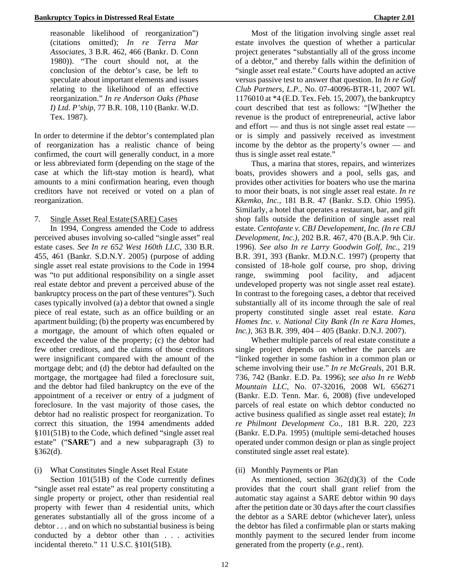reasonable likelihood of reorganization") (citations omitted); *In re Terra Mar Associates,* 3 B.R. 462, 466 (Bankr. D. Conn 1980)). "The court should not, at the conclusion of the debtor's case, be left to speculate about important elements and issues relating to the likelihood of an effective reorganization." *In re Anderson Oaks (Phase I) Ltd. P'ship,* 77 B.R. 108, 110 (Bankr. W.D. Tex. 1987).

In order to determine if the debtor's contemplated plan of reorganization has a realistic chance of being confirmed, the court will generally conduct, in a more or less abbreviated form (depending on the stage of the case at which the lift-stay motion is heard), what amounts to a mini confirmation hearing, even though creditors have not received or voted on a plan of reorganization.

### 7. Single Asset Real Estate (SARE) Cases

In 1994, Congress amended the Code to address perceived abuses involving so-called "single asset" real estate cases. *See In re 652 West 160th LLC,* 330 B.R. 455, 461 (Bankr. S.D.N.Y. 2005) (purpose of adding single asset real estate provisions to the Code in 1994 was "to put additional responsibility on a single asset real estate debtor and prevent a perceived abuse of the bankruptcy process on the part of these ventures"). Such cases typically involved (a) a debtor that owned a single piece of real estate, such as an office building or an apartment building; (b) the property was encumbered by a mortgage, the amount of which often equaled or exceeded the value of the property; (c) the debtor had few other creditors, and the claims of those creditors were insignificant compared with the amount of the mortgage debt; and (d) the debtor had defaulted on the mortgage, the mortgagee had filed a foreclosure suit, and the debtor had filed bankruptcy on the eve of the appointment of a receiver or entry of a judgment of foreclosure. In the vast majority of those cases, the debtor had no realistic prospect for reorganization. To correct this situation, the 1994 amendments added §101(51B) to the Code, which defined "single asset real estate" ("**SARE**") and a new subparagraph (3) to  $§362(d).$ 

#### (i) What Constitutes Single Asset Real Estate

Section 101(51B) of the Code currently defines "single asset real estate" as real property constituting a single property or project, other than residential real property with fewer than 4 residential units, which generates substantially all of the gross income of a debtor . . . and on which no substantial business is being conducted by a debtor other than . . . activities incidental thereto." 11 U.S.C. §101(51B).

Most of the litigation involving single asset real estate involves the question of whether a particular project generates "substantially all of the gross income of a debtor," and thereby falls within the definition of "single asset real estate." Courts have adopted an active versus passive test to answer that question. In *In re Golf Club Partners, L.P.,* No. 07-40096-BTR-11, 2007 WL 1176010 at \*4 (E.D. Tex. Feb. 15, 2007), the bankruptcy court described that test as follows: "[W]hether the revenue is the product of entrepreneurial, active labor and effort — and thus is not single asset real estate or is simply and passively received as investment income by the debtor as the property's owner — and thus is single asset real estate."

Thus, a marina that stores, repairs, and winterizes boats, provides showers and a pool, sells gas, and provides other activities for boaters who use the marina to moor their boats, is not single asset real estate. *In re Kkemko, Inc.,* 181 B.R. 47 (Bankr. S.D. Ohio 1995). Similarly, a hotel that operates a restaurant, bar, and gift shop falls outside the definition of single asset real estate. *Centofante v. CBJ Developement, Inc. (In re CBJ Development, Inc.),* 202 B.R. 467, 470 (B.A.P. 9th Cir. 1996). *See also In re Larry Goodwin Golf, Inc.,* 219 B.R. 391, 393 (Bankr. M.D.N.C. 1997) (property that consisted of 18-hole golf course, pro shop, driving range, swimming pool facility, and adjacent undeveloped property was not single asset real estate). In contrast to the foregoing cases, a debtor that received substantially all of its income through the sale of real property constituted single asset real estate. *Kara Homes Inc. v. National City Bank (In re Kara Homes, Inc.),* 363 B.R. 399, 404 – 405 (Bankr. D.N.J. 2007).

Whether multiple parcels of real estate constitute a single project depends on whether the parcels are "linked together in some fashion in a common plan or scheme involving their use." *In re McGreals,* 201 B.R. 736, 742 (Bankr. E.D. Pa. 1996); *see also In re Webb Mountain LLC,* No. 07-32016, 2008 WL 656271 (Bankr. E.D. Tenn. Mar. 6, 2008) (five undeveloped parcels of real estate on which debtor conducted no active business qualified as single asset real estate); *In re Philmont Development Co.,* 181 B.R. 220, 223 (Bankr. E.D.Pa. 1995) (multiple semi-detached houses operated under common design or plan as single project constituted single asset real estate).

## (ii) Monthly Payments or Plan

As mentioned, section 362(d)(3) of the Code provides that the court shall grant relief from the automatic stay against a SARE debtor within 90 days after the petition date or 30 days after the court classifies the debtor as a SARE debtor (whichever later), unless the debtor has filed a confirmable plan or starts making monthly payment to the secured lender from income generated from the property (*e.g.*, rent).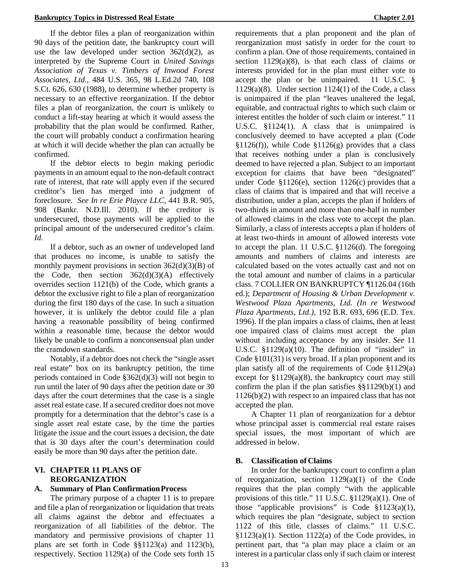If the debtor files a plan of reorganization within 90 days of the petition date, the bankruptcy court will use the law developed under section  $362(d)(2)$ , as interpreted by the Supreme Court in *United Savings Association of Texas v. Timbers of Inwood Forest Associates, Ltd.,* 484 U.S. 365, 98 L.Ed.2d 740, 108 S.Ct. 626, 630 (1988), to determine whether property is necessary to an effective reorganization. If the debtor files a plan of reorganization, the court is unlikely to conduct a lift-stay hearing at which it would assess the probability that the plan would be confirmed. Rather, the court will probably conduct a confirmation hearing at which it will decide whether the plan can actually be confirmed.

If the debtor elects to begin making periodic payments in an amount equal to the non-default contract rate of interest, that rate will apply even if the secured creditor's lien has merged into a judgment of foreclosure. *See In re Erie Playce LLC,* 441 B.R. 905, 908 (Bankr. N.D.Ill. 2010). If the creditor is undersecured, those payments will be applied to the principal amount of the undersecured creditor's claim. *Id.*

If a debtor, such as an owner of undeveloped land that produces no income, is unable to satisfy the monthly payment provisions in section  $362(d)(3)(B)$  of the Code, then section  $362(d)(3)(A)$  effectively overrides section 1121(b) of the Code, which grants a debtor the exclusive right to file a plan of reorganization during the first 180 days of the case. In such a situation however, it is unlikely the debtor could file a plan having a reasonable possibility of being confirmed within a reasonable time, because the debtor would likely be unable to confirm a nonconsensual plan under the cramdown standards.

Notably, if a debtor does not check the "single asset real estate" box on its bankruptcy petition, the time periods contained in Code §362(d)(3) will not begin to run until the later of 90 days after the petition date or 30 days after the court determines that the case is a single asset real estate case. If a secured creditor does not move promptly for a determination that the debtor's case is a single asset real estate case, by the time the parties litigate the issue and the court issues a decision, the date that is 30 days after the court's determination could easily be more than 90 days after the petition date.

### **VI. CHAPTER 11 PLANS OF REORGANIZATION**

## **A. Summary of Plan ConfirmationProcess**

The primary purpose of a chapter 11 is to prepare and file a plan of reorganization or liquidation that treats all claims against the debtor and effectuates a reorganization of all liabilities of the debtor. The mandatory and permissive provisions of chapter 11 plans are set forth in Code §§1123(a) and 1123(b), respectively. Section 1129(a) of the Code sets forth 15

requirements that a plan proponent and the plan of reorganization must satisfy in order for the court to confirm a plan. One of those requirements, contained in section  $1129(a)(8)$ , is that each class of claims or interests provided for in the plan must either vote to accept the plan or be unimpaired. 11 U.S.C. § 1129(a)(8). Under section  $1124(1)$  of the Code, a class is unimpaired if the plan "leaves unaltered the legal, equitable, and contractual rights to which such claim or interest entitles the holder of such claim or interest." 11 U.S.C. §1124(1). A class that is unimpaired is conclusively deemed to have accepted a plan (Code  $§1126(f)$ , while Code  $§1126(g)$  provides that a class that receives nothing under a plan is conclusively deemed to have rejected a plan. Subject to an important exception for claims that have been "designated" under Code  $$1126(e)$ , section  $1126(c)$  provides that a class of claims that is impaired and that will receive a distribution, under a plan, accepts the plan if holders of two-thirds in amount and more than one-half in number of allowed claims in the class vote to accept the plan. Similarly, a class of interests accepts a plan if holders of at least two-thirds in amount of allowed interests vote to accept the plan. 11 U.S.C. §1126(d). The foregoing amounts and numbers of claims and interests are calculated based on the votes actually cast and not on the total amount and number of claims in a particular class. 7 COLLIER ON BANKRUPTCY ¶1126.04 (16th ed.); *Department of Housing & Urban Development v. Westwood Plaza Apartments, Ltd. (In re Westwood Plaza Apartments, Ltd.),* 192 B.R. 693, 696 (E.D. Tex. 1996). If the plan impairs a class of claims, then at least one impaired class of claims must accept the plan without including acceptance by any insider. *See* 11 U.S.C.  $$1129(a)(10)$ . The definition of "insider" in Code §101(31) is very broad. If a plan proponent and its plan satisfy all of the requirements of Code §1129(a) except for  $$1129(a)(8)$ , the bankruptcy court may still confirm the plan if the plan satisfies  $\S$ [1129(b)(1) and 1126(b)(2) with respect to an impaired class that has not accepted the plan.

A Chapter 11 plan of reorganization for a debtor whose principal asset is commercial real estate raises special issues, the most important of which are addressed in below.

## **B. Classification ofClaims**

In order for the bankruptcy court to confirm a plan of reorganization, section 1129(a)(1) of the Code requires that the plan comply "with the applicable provisions of this title." 11 U.S.C. §1129(a)(1). One of those "applicable provisions" is Code  $$1123(a)(1)$ , which requires the plan "designate, subject to section 1122 of this title, classes of claims." 11 U.S.C.  $§1123(a)(1)$ . Section 1122(a) of the Code provides, in pertinent part, that "a plan may place a claim or an interest in a particular class only if such claim or interest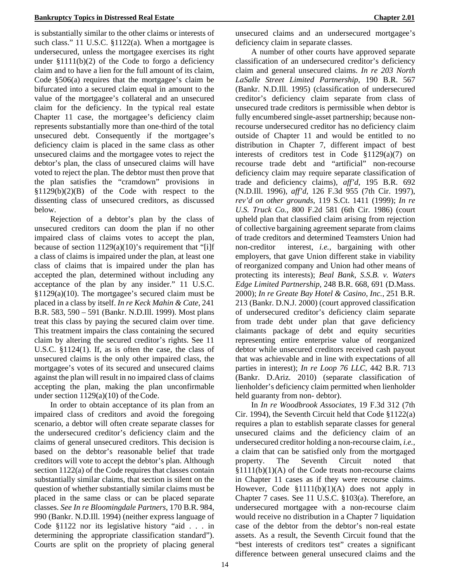is substantially similar to the other claims or interests of such class." 11 U.S.C. §1122(a). When a mortgagee is undersecured, unless the mortgagee exercises its right under  $$1111(b)(2)$  of the Code to forgo a deficiency claim and to have a lien for the full amount of its claim, Code §506(a) requires that the mortgagee's claim be bifurcated into a secured claim equal in amount to the value of the mortgagee's collateral and an unsecured claim for the deficiency. In the typical real estate Chapter 11 case, the mortgagee's deficiency claim represents substantially more than one-third of the total unsecured debt. Consequently if the mortgagee's deficiency claim is placed in the same class as other unsecured claims and the mortgagee votes to reject the debtor's plan, the class of unsecured claims will have voted to reject the plan. The debtor must then prove that the plan satisfies the "cramdown" provisions in  $§1129(b)(2)(B)$  of the Code with respect to the dissenting class of unsecured creditors, as discussed below.

Rejection of a debtor's plan by the class of unsecured creditors can doom the plan if no other impaired class of claims votes to accept the plan, because of section  $1129(a)(10)$ 's requirement that "[i]f a class of claims is impaired under the plan, at least one class of claims that is impaired under the plan has accepted the plan, determined without including any acceptance of the plan by any insider." 11 U.S.C. §1129(a)(10). The mortgagee's secured claim must be placed in a class by itself. *In re Keck Mahin & Cate,* 241 B.R. 583, 590 – 591 (Bankr. N.D.Ill. 1999). Most plans treat this class by paying the secured claim over time. This treatment impairs the class containing the secured claim by altering the secured creditor's rights. See 11 U.S.C. §1124(1). If, as is often the case, the class of unsecured claims is the only other impaired class, the mortgagee's votes of its secured and unsecured claims against the plan will result in no impaired class of claims accepting the plan, making the plan unconfirmable under section  $1129(a)(10)$  of the Code.

In order to obtain acceptance of its plan from an impaired class of creditors and avoid the foregoing scenario, a debtor will often create separate classes for the undersecured creditor's deficiency claim and the claims of general unsecured creditors. This decision is based on the debtor's reasonable belief that trade creditors will vote to accept the debtor's plan. Although section 1122(a) of the Code requires that classes contain substantially similar claims, that section is silent on the question of whether substantially similar claims must be placed in the same class or can be placed separate classes. *See In re Bloomingdale Partners,* 170 B.R. 984, 990 (Bankr. N.D.Ill. 1994) (neither express language of Code §1122 nor its legislative history "aid . . . in determining the appropriate classification standard"). Courts are split on the propriety of placing general

unsecured claims and an undersecured mortgagee's deficiency claim in separate classes.

A number of other courts have approved separate classification of an undersecured creditor's deficiency claim and general unsecured claims. *In re 203 North LaSalle Street Limited Partnership,* 190 B.R. 567 (Bankr. N.D.Ill. 1995) (classification of undersecured creditor's deficiency claim separate from class of unsecured trade creditors is permissible when debtor is fully encumbered single-asset partnership; because nonrecourse undersecured creditor has no deficiency claim outside of Chapter 11 and would be entitled to no distribution in Chapter 7, different impact of best interests of creditors test in Code §1129(a)(7) on recourse trade debt and "artificial" non-recourse deficiency claim may require separate classification of trade and deficiency claims), *aff'd,* 195 B.R. 692 (N.D.Ill. 1996), *aff'd,* 126 F.3d 955 (7th Cir. 1997), *rev'd on other grounds,* 119 S.Ct. 1411 (1999); *In re U.S. Truck Co.,* 800 F.2d 581 (6th Cir. 1986) (court upheld plan that classified claim arising from rejection of collective bargaining agreement separate from claims of trade creditors and determined Teamsters Union had non-creditor interest, *i.e.,* bargaining with other employers, that gave Union different stake in viability of reorganized company and Union had other means of protecting its interests); *Beal Bank, S.S.B. v. Waters Edge Limited Partnership,* 248 B.R. 668, 691 (D.Mass. 2000); *In re Greate Bay Hotel & Casino, Inc.,* 251 B.R. 213 (Bankr. D.N.J. 2000) (court approved classification of undersecured creditor's deficiency claim separate from trade debt under plan that gave deficiency claimants package of debt and equity securities representing entire enterprise value of reorganized debtor while unsecured creditors received cash payout that was achievable and in line with expectations of all parties in interest); *In re Loop 76 LLC,* 442 B.R. 713 (Bankr. D.Ariz. 2010) (separate classification of lienholder's deficiency claim permitted when lienholder held guaranty from non- debtor).

In *In re Woodbrook Associates,* 19 F.3d 312 (7th Cir. 1994), the Seventh Circuit held that Code §1122(a) requires a plan to establish separate classes for general unsecured claims and the deficiency claim of an undersecured creditor holding a non-recourse claim, *i.e.,*  a claim that can be satisfied only from the mortgaged property. The Seventh Circuit noted that §1111(b)(1)(A) of the Code treats non-recourse claims in Chapter 11 cases as if they were recourse claims. However, Code §1111(b)(1)(A) does not apply in Chapter 7 cases. See 11 U.S.C. §103(a). Therefore, an undersecured mortgagee with a non-recourse claim would receive no distribution in a Chapter 7 liquidation case of the debtor from the debtor's non-real estate assets. As a result, the Seventh Circuit found that the "best interests of creditors test" creates a significant difference between general unsecured claims and the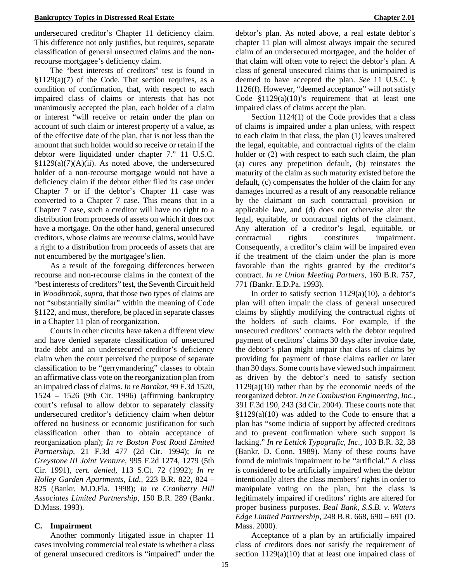undersecured creditor's Chapter 11 deficiency claim. This difference not only justifies, but requires, separate classification of general unsecured claims and the nonrecourse mortgagee's deficiency claim.

The "best interests of creditors" test is found in  $$1129(a)(7)$  of the Code. That section requires, as a condition of confirmation, that, with respect to each impaired class of claims or interests that has not unanimously accepted the plan, each holder of a claim or interest "will receive or retain under the plan on account of such claim or interest property of a value, as of the effective date of the plan, that is not less than the amount that such holder would so receive or retain if the debtor were liquidated under chapter 7." 11 U.S.C.  $$1129(a)(7)(A)(ii)$ . As noted above, the undersecured holder of a non-recourse mortgage would not have a deficiency claim if the debtor either filed its case under Chapter 7 or if the debtor's Chapter 11 case was converted to a Chapter 7 case. This means that in a Chapter 7 case, such a creditor will have no right to a distribution from proceeds of assets on which it does not have a mortgage. On the other hand, general unsecured creditors, whose claims are recourse claims, would have a right to a distribution from proceeds of assets that are not encumbered by the mortgagee'slien.

As a result of the foregoing differences between recourse and non-recourse claims in the context of the "best interests of creditors" test, the Seventh Circuit held in *Woodbrook, supra,* that those two types of claims are not "substantially similar" within the meaning of Code §1122, and must, therefore, be placed in separate classes in a Chapter 11 plan of reorganization.

Courts in other circuits have taken a different view and have denied separate classification of unsecured trade debt and an undersecured creditor's deficiency claim when the court perceived the purpose of separate classification to be "gerrymandering" classes to obtain an affirmative class vote on the reorganization plan from an impaired class of claims. *In re Barakat,* 99 F.3d 1520, 1524 – 1526 (9th Cir. 1996) (affirming bankruptcy court's refusal to allow debtor to separately classify undersecured creditor's deficiency claim when debtor offered no business or economic justification for such classification other than to obtain acceptance of reorganization plan); *In re Boston Post Road Limited Partnership,* 21 F.3d 477 (2d Cir. 1994); *In re Greystone III Joint Venture,* 995 F.2d 1274, 1279 (5th Cir. 1991), *cert. denied,* 113 S.Ct. 72 (1992); *In re Holley Garden Apartments, Ltd.,* 223 B.R. 822, 824 – 825 (Bankr. M.D.Fla. 1998); *In re Cranberry Hill Associates Limited Partnership,* 150 B.R. 289 (Bankr. D.Mass. 1993).

## **C. Impairment**

Another commonly litigated issue in chapter 11 cases involving commercial real estate is whether a class of general unsecured creditors is "impaired" under the debtor's plan. As noted above, a real estate debtor's chapter 11 plan will almost always impair the secured claim of an undersecured mortgagee, and the holder of that claim will often vote to reject the debtor's plan. A class of general unsecured claims that is unimpaired is deemed to have accepted the plan. *See* 11 U.S.C. § 1126(f). However, "deemed acceptance" will not satisfy Code  $$1129(a)(10)'$ s requirement that at least one impaired class of claims accept the plan.

Section 1124(1) of the Code provides that a class of claims is impaired under a plan unless, with respect to each claim in that class, the plan (1) leaves unaltered the legal, equitable, and contractual rights of the claim holder or  $(2)$  with respect to each such claim, the plan (a) cures any prepetition default, (b) reinstates the maturity of the claim as such maturity existed before the default, (c) compensates the holder of the claim for any damages incurred as a result of any reasonable reliance by the claimant on such contractual provision or applicable law, and (d) does not otherwise alter the legal, equitable, or contractual rights of the claimant. Any alteration of a creditor's legal, equitable, or contractual rights constitutes impairment. Consequently, a creditor's claim will be impaired even if the treatment of the claim under the plan is more favorable than the rights granted by the creditor's contract. *In re Union Meeting Partners,* 160 B.R. 757, 771 (Bankr. E.D.Pa. 1993).

In order to satisfy section  $1129(a)(10)$ , a debtor's plan will often impair the class of general unsecured claims by slightly modifying the contractual rights of the holders of such claims. For example, if the unsecured creditors' contracts with the debtor required payment of creditors' claims 30 days after invoice date, the debtor's plan might impair that class of claims by providing for payment of those claims earlier or later than 30 days. Some courts have viewed such impairment as driven by the debtor's need to satisfy section 1129(a)(10) rather than by the economic needs of the reorganized debtor. *In re Combustion Engineering, Inc.,*  391 F.3d 190, 243 (3d Cir. 2004). These courts note that  $§1129(a)(10)$  was added to the Code to ensure that a plan has "some indicia of support by affected creditors and to prevent confirmation where such support is lacking." *In re Lettick Typografic, Inc.,* 103 B.R. 32, 38 (Bankr. D. Conn. 1989). Many of these courts have found de minimis impairment to be "artificial." A class is considered to be artificially impaired when the debtor intentionally alters the class members' rights in order to manipulate voting on the plan, but the class is legitimately impaired if creditors' rights are altered for proper business purposes. *Beal Bank, S.S.B. v. Waters Edge Limited Partnership,* 248 B.R. 668, 690 – 691 (D. Mass. 2000).

Acceptance of a plan by an artificially impaired class of creditors does not satisfy the requirement of section  $1129(a)(10)$  that at least one impaired class of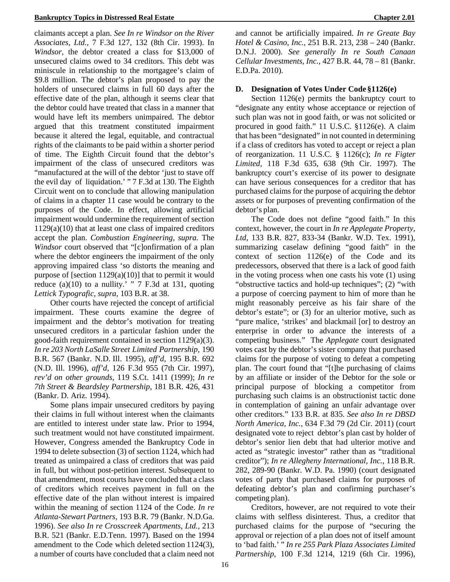#### **Bankruptcy Topics in Distressed Real Estate Chapter 2.01**

claimants accept a plan. *See In re Windsor on the River Associates, Ltd.,* 7 F.3d 127, 132 (8th Cir. 1993). In *Windsor,* the debtor created a class for \$13,000 of unsecured claims owed to 34 creditors. This debt was miniscule in relationship to the mortgagee's claim of \$9.8 million. The debtor's plan proposed to pay the holders of unsecured claims in full 60 days after the effective date of the plan, although it seems clear that the debtor could have treated that class in a manner that would have left its members unimpaired. The debtor argued that this treatment constituted impairment because it altered the legal, equitable, and contractual rights of the claimants to be paid within a shorter period of time. The Eighth Circuit found that the debtor's impairment of the class of unsecured creditors was "manufactured at the will of the debtor 'just to stave off the evil day of liquidation.' " 7 F.3d at 130. The Eighth Circuit went on to conclude that allowing manipulation of claims in a chapter 11 case would be contrary to the purposes of the Code. In effect, allowing artificial impairment would undermine the requirement of section 1129(a)(10) that at least one class of impaired creditors accept the plan. *Combustion Engineering, supra.* The *Windsor* court observed that "[c]onfirmation of a plan where the debtor engineers the impairment of the only approving impaired class 'so distorts the meaning and purpose of [section  $1129(a)(10)$ ] that to permit it would reduce (a)(10) to a nullity.' "  $7 \text{ F.3d}$  at 131, quoting *Lettick Typografic, supra,* 103 B.R. at 38.

Other courts have rejected the concept of artificial impairment. These courts examine the degree of impairment and the debtor's motivation for treating unsecured creditors in a particular fashion under the good-faith requirement contained in section 1129(a)(3). *In re 203 North LaSalle Street Limited Partnership,* 190 B.R. 567 (Bankr. N.D. Ill. 1995), *aff'd,* 195 B.R. 692 (N.D. Ill. 1996), *aff'd,* 126 F.3d 955 (7th Cir. 1997), *rev'd on other grounds,* 119 S.Ct. 1411 (1999); *In re 7th Street & Beardsley Partnership,* 181 B.R. 426, 431 (Bankr. D. Ariz. 1994).

Some plans impair unsecured creditors by paying their claims in full without interest when the claimants are entitled to interest under state law. Prior to 1994, such treatment would not have constituted impairment. However, Congress amended the Bankruptcy Code in 1994 to delete subsection (3) of section 1124, which had treated as unimpaired a class of creditors that was paid in full, but without post-petition interest. Subsequent to that amendment, most courts have concluded that a class of creditors which receives payment in full on the effective date of the plan without interest is impaired within the meaning of section 1124 of the Code. *In re Atlanta-Stewart Partners,* 193 B.R. 79 (Bankr. N.D.Ga. 1996). *See also In re Crosscreek Apartments, Ltd.,* 213 B.R. 521 (Bankr. E.D.Tenn. 1997). Based on the 1994 amendment to the Code which deleted section 1124(3), a number of courts have concluded that a claim need not and cannot be artificially impaired. *In re Greate Bay Hotel & Casino, Inc.,* 251 B.R. 213, 238 – 240 (Bankr. D.N.J. 2000). *See generally In re South Canaan Cellular Investments, Inc.,* 427 B.R. 44, 78 – 81 (Bankr. E.D.Pa. 2010).

### **D. Designation of Votes Under Code §1126(e)**

Section 1126(e) permits the bankruptcy court to "designate any entity whose acceptance or rejection of such plan was not in good faith, or was not solicited or procured in good faith." 11 U.S.C. §1126(e). A claim that has been "designated" in not counted in determining if a class of creditors has voted to accept or reject a plan of reorganization. 11 U.S.C. § 1126(c); *In re Figter Limited,* 118 F.3d 635, 638 (9th Cir. 1997). The bankruptcy court's exercise of its power to designate can have serious consequences for a creditor that has purchased claims for the purpose of acquiring the debtor assets or for purposes of preventing confirmation of the debtor's plan.

The Code does not define "good faith." In this context, however, the court in *In re Applegate Property, Ltd,* 133 B.R. 827, 833-34 (Bankr. W.D. Tex. 1991), summarizing caselaw defining "good faith" in the context of section 1126(e) of the Code and its predecessors, observed that there is a lack of good faith in the voting process when one casts his vote (1) using "obstructive tactics and hold-up techniques"; (2) "with a purpose of coercing payment to him of more than he might reasonably perceive as his fair share of the debtor's estate"; or (3) for an ulterior motive, such as "pure malice, 'strikes' and blackmail [or] to destroy an enterprise in order to advance the interests of a competing business." The *Applegate* court designated votes cast by the debtor's sister company that purchased claims for the purpose of voting to defeat a competing plan. The court found that "[t]he purchasing of claims by an affiliate or insider of the Debtor for the sole or principal purpose of blocking a competitor from purchasing such claims is an obstructionist tactic done in contemplation of gaining an unfair advantage over other creditors." 133 B.R. at 835. *See also In re DBSD North America, Inc.,* 634 F.3d 79 (2d Cir. 2011) (court designated vote to reject debtor's plan cast by holder of debtor's senior lien debt that had ulterior motive and acted as "strategic investor" rather than as "traditional creditor"); *In re Allegheny International, Inc.,* 118 B.R. 282, 289-90 (Bankr. W.D. Pa. 1990) (court designated votes of party that purchased claims for purposes of defeating debtor's plan and confirming purchaser's competing plan).

Creditors, however, are not required to vote their claims with selfless disinterest. Thus, a creditor that purchased claims for the purpose of "securing the approval or rejection of a plan does not of itself amount to 'bad faith.' " *In re 255 Park Plaza Associates Limited Partnership,* 100 F.3d 1214, 1219 (6th Cir. 1996),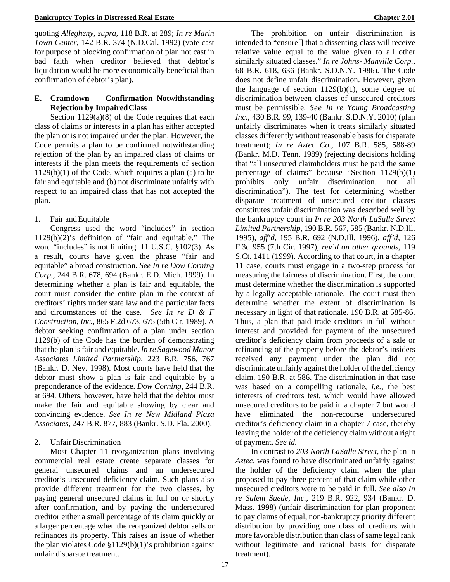#### **Bankruptcy Topics in Distressed Real Estate Chapter 2.01**

quoting *Allegheny, supra,* 118 B.R. at 289; *In re Marin Town Center,* 142 B.R. 374 (N.D.Cal. 1992) (vote cast for purpose of blocking confirmation of plan not cast in bad faith when creditor believed that debtor's liquidation would be more economically beneficial than confirmation of debtor's plan).

## **E. Cramdown — Confirmation Notwithstanding Rejection by ImpairedClass**

Section 1129(a)(8) of the Code requires that each class of claims or interests in a plan has either accepted the plan or is not impaired under the plan. However, the Code permits a plan to be confirmed notwithstanding rejection of the plan by an impaired class of claims or interests if the plan meets the requirements of section  $1129(b)(1)$  of the Code, which requires a plan (a) to be fair and equitable and (b) not discriminate unfairly with respect to an impaired class that has not accepted the plan.

### 1. Fair and Equitable

Congress used the word "includes" in section 1129(b)(2)'s definition of "fair and equitable." The word "includes" is not limiting. 11 U.S.C. §102(3). As a result, courts have given the phrase "fair and equitable" a broad construction. *See In re Dow Corning Corp.,* 244 B.R. 678, 694 (Bankr. E.D. Mich. 1999). In determining whether a plan is fair and equitable, the court must consider the entire plan in the context of creditors' rights under state law and the particular facts and circumstances of the case. *See In re D & F Construction, Inc.,* 865 F.2d 673, 675 (5th Cir. 1989). A debtor seeking confirmation of a plan under section 1129(b) of the Code has the burden of demonstrating that the plan is fair and equitable. *In re Sagewood Manor Associates Limited Partnership,* 223 B.R. 756, 767 (Bankr. D. Nev. 1998). Most courts have held that the debtor must show a plan is fair and equitable by a preponderance of the evidence. *Dow Corning,* 244 B.R. at 694*.* Others, however, have held that the debtor must make the fair and equitable showing by clear and convincing evidence. *See In re New Midland Plaza Associates,* 247 B.R. 877, 883 (Bankr. S.D. Fla. 2000).

#### 2. UnfairDiscrimination

Most Chapter 11 reorganization plans involving commercial real estate create separate classes for general unsecured claims and an undersecured creditor's unsecured deficiency claim. Such plans also provide different treatment for the two classes, by paying general unsecured claims in full on or shortly after confirmation, and by paying the undersecured creditor either a small percentage of its claim quickly or a larger percentage when the reorganized debtor sells or refinances its property. This raises an issue of whether the plan violates Code  $$1129(b)(1)'$ s prohibition against unfair disparate treatment.

The prohibition on unfair discrimination is intended to "ensure[] that a dissenting class will receive relative value equal to the value given to all other similarly situated classes." *In re Johns- Manville Corp.,*  68 B.R. 618, 636 (Bankr. S.D.N.Y. 1986). The Code does not define unfair discrimination. However, given the language of section  $1129(b)(1)$ , some degree of discrimination between classes of unsecured creditors must be permissible. *See In re Young Broadcasting Inc.,* 430 B.R. 99, 139-40 (Bankr. S.D.N.Y. 2010) (plan unfairly discriminates when it treats similarly situated classes differently without reasonable basis for disparate treatment); *In re Aztec Co.,* 107 B.R. 585, 588-89 (Bankr. M.D. Tenn. 1989) (rejecting decisions holding that "all unsecured claimholders must be paid the same percentage of claims" because "Section 1129(b)(1) prohibits only unfair discrimination, not all discrimination"). The test for determining whether disparate treatment of unsecured creditor classes constitutes unfair discrimination was described well by the bankruptcy court in *In re 203 North LaSalle Street Limited Partnership,* 190 B.R. 567, 585 (Bankr. N.D.Ill. 1995), *aff'd,* 195 B.R. 692 (N.D.Ill. 1996), *aff'd,* 126 F.3d 955 (7th Cir. 1997), *rev'd on other grounds,* 119 S.Ct. 1411 (1999). According to that court, in a chapter 11 case, courts must engage in a two-step process for measuring the fairness of discrimination. First, the court must determine whether the discrimination is supported by a legally acceptable rationale. The court must then determine whether the extent of discrimination is necessary in light of that rationale. 190 B.R. at 585-86. Thus, a plan that paid trade creditors in full without interest and provided for payment of the unsecured creditor's deficiency claim from proceeds of a sale or refinancing of the property before the debtor's insiders received any payment under the plan did not discriminate unfairly against the holder of the deficiency claim. 190 B.R. at 586. The discrimination in that case was based on a compelling rationale, *i.e.,* the best interests of creditors test, which would have allowed unsecured creditors to be paid in a chapter 7 but would have eliminated the non-recourse undersecured creditor's deficiency claim in a chapter 7 case, thereby leaving the holder of the deficiency claim without a right of payment. *See id.* 

In contrast to *203 North LaSalle Street,* the plan in *Aztec,* was found to have discriminated unfairly against the holder of the deficiency claim when the plan proposed to pay three percent of that claim while other unsecured creditors were to be paid in full. *See also In re Salem Suede, Inc.,* 219 B.R. 922, 934 (Bankr. D. Mass. 1998) (unfair discrimination for plan proponent to pay claims of equal, non-bankruptcy priority different distribution by providing one class of creditors with more favorable distribution than class of same legal rank without legitimate and rational basis for disparate treatment).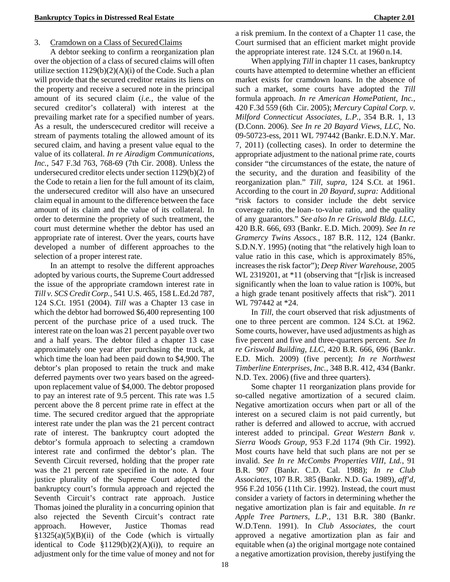### 3. Cramdown on a Class of SecuredClaims

A debtor seeking to confirm a reorganization plan over the objection of a class of secured claims will often utilize section  $1129(b)(2)(A)(i)$  of the Code. Such a plan will provide that the secured creditor retains its liens on the property and receive a secured note in the principal amount of its secured claim (*i.e.,* the value of the secured creditor's collateral) with interest at the prevailing market rate for a specified number of years. As a result, the underscecured creditor will receive a stream of payments totaling the allowed amount of its secured claim, and having a present value equal to the value of its collateral. *In re Airadigm Communications, Inc.,* 547 F.3d 763, 768-69 (7th Cir. 2008). Unless the undersecured creditor elects under section 1129(b)(2) of the Code to retain a lien for the full amount of its claim, the undersecured creditor will also have an unsecured claim equal in amount to the difference between the face amount of its claim and the value of its collateral. In order to determine the propriety of such treatment, the court must determine whether the debtor has used an appropriate rate of interest. Over the years, courts have developed a number of different approaches to the selection of a proper interest rate.

In an attempt to resolve the different approaches adopted by various courts, the Supreme Court addressed the issue of the appropriate cramdown interest rate in *Till v. SCS Credit Corp.,* 541 U.S. 465, 158 L.Ed.2d 787, 124 S.Ct. 1951 (2004). *Till* was a Chapter 13 case in which the debtor had borrowed \$6,400 representing 100 percent of the purchase price of a used truck. The interest rate on the loan was 21 percent payable over two and a half years. The debtor filed a chapter 13 case approximately one year after purchasing the truck, at which time the loan had been paid down to \$4,900. The debtor's plan proposed to retain the truck and make deferred payments over two years based on the agreedupon replacement value of \$4,000. The debtor proposed to pay an interest rate of 9.5 percent. This rate was 1.5 percent above the 8 percent prime rate in effect at the time. The secured creditor argued that the appropriate interest rate under the plan was the 21 percent contract rate of interest. The bankruptcy court adopted the debtor's formula approach to selecting a cramdown interest rate and confirmed the debtor's plan. The Seventh Circuit reversed, holding that the proper rate was the 21 percent rate specified in the note. A four justice plurality of the Supreme Court adopted the bankruptcy court's formula approach and rejected the Seventh Circuit's contract rate approach. Justice Thomas joined the plurality in a concurring opinion that also rejected the Seventh Circuit's contract rate approach. However, Justice Thomas read  $§1325(a)(5)(B)(ii)$  of the Code (which is virtually identical to Code  $$1129(b)(2)(A)(i)$ , to require an adjustment only for the time value of money and not for

a risk premium. In the context of a Chapter 11 case, the Court surmised that an efficient market might provide the appropriate interest rate. 124 S.Ct. at 1960 n.14.

When applying *Till* in chapter 11 cases, bankruptcy courts have attempted to determine whether an efficient market exists for cramdown loans. In the absence of such a market, some courts have adopted the *Till*  formula approach. *In re American HomePatient, Inc.,*  420 F.3d 559 (6th Cir. 2005); *Mercury Capital Corp. v. Milford Connecticut Associates, L.P.,* 354 B.R. 1, 13 (D.Conn. 2006). *See In re 20 Bayard Views, LLC,* No. 09-50723-ess, 2011 WL 797442 (Bankr. E.D.N.Y. Mar. 7, 2011) (collecting cases). In order to determine the appropriate adjustment to the national prime rate, courts consider "the circumstances of the estate, the nature of the security, and the duration and feasibility of the reorganization plan." *Till, supra,* 124 S.Ct. at 1961. According to the court in *20 Bayard, supra:* Additional "risk factors to consider include the debt service coverage ratio, the loan- to-value ratio, and the quality of any guarantors." *See also In re Griswold Bldg. LLC,* 420 B.R. 666, 693 (Bankr. E.D. Mich. 2009). *See In re Gramercy Twins Assocs.,* 187 B.R. 112, 124 (Bankr. S.D.N.Y. 1995) (noting that "the relatively high loan to value ratio in this case, which is approximately 85%, increases the risk factor"); *Deep River Warehouse,* 2005 WL 2319201, at \*11 (observing that "[r]isk is increased significantly when the loan to value ration is 100%, but a high grade tenant positively affects that risk"). 2011 WL 797442 at \*24.

In *Till,* the court observed that risk adjustments of one to three percent are common. 124 S.Ct. at 1962. Some courts, however, have used adjustments as high as five percent and five and three-quarters percent. *See In re Griswold Building, LLC,* 420 B.R. 666, 696 (Bankr. E.D. Mich. 2009) (five percent); *In re Northwest Timberline Enterprises, Inc.,* 348 B.R. 412, 434 (Bankr. N.D. Tex. 2006) (five and three quarters).

Some chapter 11 reorganization plans provide for so-called negative amortization of a secured claim. Negative amortization occurs when part or all of the interest on a secured claim is not paid currently, but rather is deferred and allowed to accrue, with accrued interest added to principal. *Great Western Bank v. Sierra Woods Group,* 953 F.2d 1174 (9th Cir. 1992). Most courts have held that such plans are not per se invalid. *See In re McCombs Properties VIII, Ltd.,* 91 B.R. 907 (Bankr. C.D. Cal. 1988); *In re Club Associates,* 107 B.R. 385 (Bankr. N.D. Ga. 1989), *aff'd,*  956 F.2d 1056 (11th Cir. 1992). Instead, the court must consider a variety of factors in determining whether the negative amortization plan is fair and equitable. *In re Apple Tree Partners, L.P.,* 131 B.R. 380 (Bankr. W.D.Tenn. 1991). In *Club Associates,* the court approved a negative amortization plan as fair and equitable when (a) the original mortgage note contained a negative amortization provision, thereby justifying the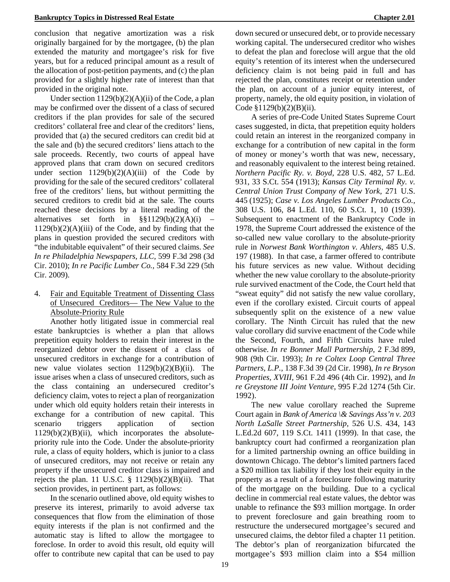conclusion that negative amortization was a risk originally bargained for by the mortgagee, (b) the plan extended the maturity and mortgagee's risk for five years, but for a reduced principal amount as a result of the allocation of post-petition payments, and (c) the plan provided for a slightly higher rate of interest than that provided in the original note.

Under section  $1129(b)(2)(A)(ii)$  of the Code, a plan may be confirmed over the dissent of a class of secured creditors if the plan provides for sale of the secured creditors' collateral free and clear of the creditors' liens, provided that (a) the secured creditors can credit bid at the sale and (b) the secured creditors' liens attach to the sale proceeds. Recently, two courts of appeal have approved plans that cram down on secured creditors under section  $1129(b)(2)(A)(iii)$  of the Code by providing for the sale of the secured creditors' collateral free of the creditors' liens, but without permitting the secured creditors to credit bid at the sale. The courts reached these decisions by a literal reading of the alternatives set forth in  $\S$ §1129(b)(2)(A)(i) –  $1129(b)(2)(A)(iii)$  of the Code, and by finding that the plans in question provided the secured creditors with "the indubitable equivalent" of their secured claims. *See In re Philadelphia Newspapers, LLC,* 599 F.3d 298 (3d Cir. 2010); *In re Pacific Lumber Co.,* 584 F.3d 229 (5th Cir. 2009).

## 4. Fair and Equitable Treatment of Dissenting Class of Unsecured Creditors— The New Value to the Absolute-Priority Rule

Another hotly litigated issue in commercial real estate bankruptcies is whether a plan that allows prepetition equity holders to retain their interest in the reorganized debtor over the dissent of a class of unsecured creditors in exchange for a contribution of new value violates section  $1129(b)(2)(B)(ii)$ . The issue arises when a class of unsecured creditors, such as the class containing an undersecured creditor's deficiency claim, votes to reject a plan of reorganization under which old equity holders retain their interests in exchange for a contribution of new capital. This scenario triggers application of section  $1129(b)(2)(B)(ii)$ , which incorporates the absolutepriority rule into the Code. Under the absolute-priority rule, a class of equity holders, which is junior to a class of unsecured creditors, may not receive or retain any property if the unsecured creditor class is impaired and rejects the plan. 11 U.S.C.  $\S$  1129(b)(2)(B)(ii). That section provides, in pertinent part, as follows:

In the scenario outlined above, old equity wishes to preserve its interest, primarily to avoid adverse tax consequences that flow from the elimination of those equity interests if the plan is not confirmed and the automatic stay is lifted to allow the mortgagee to foreclose. In order to avoid this result, old equity will offer to contribute new capital that can be used to pay

down secured or unsecured debt, or to provide necessary working capital. The undersecured creditor who wishes to defeat the plan and foreclose will argue that the old equity's retention of its interest when the undersecured deficiency claim is not being paid in full and has rejected the plan, constitutes receipt or retention under the plan, on account of a junior equity interest, of property, namely, the old equity position, in violation of Code §1129(b)(2)(B)(ii).

A series of pre-Code United States Supreme Court cases suggested, in dicta, that prepetition equity holders could retain an interest in the reorganized company in exchange for a contribution of new capital in the form of money or money's worth that was new, necessary, and reasonably equivalent to the interest being retained. *Northern Pacific Ry. v. Boyd,* 228 U.S. 482, 57 L.Ed. 931, 33 S.Ct. 554 (1913); *Kansas City Terminal Ry. v. Central Union Trust Company of New York,* 271 U.S. 445 (1925); *Case v. Los Angeles Lumber Products Co.,*  308 U.S. 106, 84 L.Ed. 110, 60 S.Ct. 1, 10 (1939). Subsequent to enactment of the Bankruptcy Code in 1978, the Supreme Court addressed the existence of the so-called new value corollary to the absolute-priority rule in *Norwest Bank Worthington v. Ahlers,* 485 U.S. 197 (1988). In that case, a farmer offered to contribute his future services as new value. Without deciding whether the new value corollary to the absolute-priority rule survived enactment of the Code, the Court held that "sweat equity" did not satisfy the new value corollary, even if the corollary existed. Circuit courts of appeal subsequently split on the existence of a new value corollary. The Ninth Circuit has ruled that the new value corollary did survive enactment of the Code while the Second, Fourth, and Fifth Circuits have ruled otherwise. *In re Bonner Mall Partnership,* 2 F.3d 899, 908 (9th Cir. 1993); *In re Coltex Loop Central Three Partners, L.P.,* 138 F.3d 39 (2d Cir. 1998), *In re Bryson Properties, XVIII,* 961 F.2d 496 (4th Cir. 1992), and *In re Greystone III Joint Venture,* 995 F.2d 1274 (5th Cir. 1992).

The new value corollary reached the Supreme Court again in *Bank of America \& Savings Ass'n v. 203 North LaSalle Street Partnership,* 526 U.S. 434, 143 L.Ed.2d 607, 119 S.Ct. 1411 (1999). In that case, the bankruptcy court had confirmed a reorganization plan for a limited partnership owning an office building in downtown Chicago. The debtor's limited partners faced a \$20 million tax liability if they lost their equity in the property as a result of a foreclosure following maturity of the mortgage on the building. Due to a cyclical decline in commercial real estate values, the debtor was unable to refinance the \$93 million mortgage. In order to prevent foreclosure and gain breathing room to restructure the undersecured mortgagee's secured and unsecured claims, the debtor filed a chapter 11 petition. The debtor's plan of reorganization bifurcated the mortgagee's \$93 million claim into a \$54 million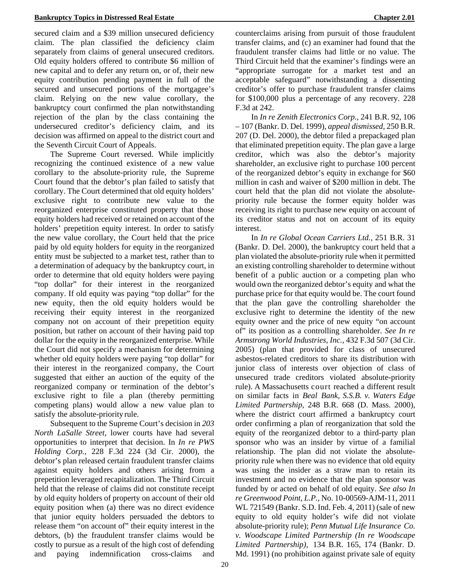secured claim and a \$39 million unsecured deficiency claim. The plan classified the deficiency claim separately from claims of general unsecured creditors. Old equity holders offered to contribute \$6 million of new capital and to defer any return on, or of, their new equity contribution pending payment in full of the secured and unsecured portions of the mortgagee's claim. Relying on the new value corollary, the

bankruptcy court confirmed the plan notwithstanding rejection of the plan by the class containing the undersecured creditor's deficiency claim, and its decision was affirmed on appeal to the district court and the Seventh Circuit Court of Appeals.

The Supreme Court reversed. While implicitly recognizing the continued existence of a new value corollary to the absolute-priority rule, the Supreme Court found that the debtor's plan failed to satisfy that corollary. The Court determined that old equity holders' exclusive right to contribute new value to the reorganized enterprise constituted property that those equity holders had received or retained on account of the holders' prepetition equity interest. In order to satisfy the new value corollary, the Court held that the price paid by old equity holders for equity in the reorganized entity must be subjected to a market test, rather than to a determination of adequacy by the bankruptcy court, in order to determine that old equity holders were paying "top dollar" for their interest in the reorganized company. If old equity was paying "top dollar" for the new equity, then the old equity holders would be receiving their equity interest in the reorganized company not on account of their prepetition equity position, but rather on account of their having paid top dollar for the equity in the reorganized enterprise. While the Court did not specify a mechanism for determining whether old equity holders were paying "top dollar" for their interest in the reorganized company, the Court suggested that either an auction of the equity of the reorganized company or termination of the debtor's exclusive right to file a plan (thereby permitting competing plans) would allow a new value plan to satisfy the absolute-priority rule.

Subsequent to the Supreme Court's decision in *203 North LaSalle Street,* lower courts have had several opportunities to interpret that decision. In *In re PWS Holding Corp.,* 228 F.3d 224 (3d Cir. 2000), the debtor's plan released certain fraudulent transfer claims against equity holders and others arising from a prepetition leveraged recapitalization. The Third Circuit held that the release of claims did not constitute receipt by old equity holders of property on account of their old equity position when (a) there was no direct evidence that junior equity holders persuaded the debtors to release them "on account of" their equity interest in the debtors, (b) the fraudulent transfer claims would be costly to pursue as a result of the high cost of defending and paying indemnification cross-claims and

counterclaims arising from pursuit of those fraudulent transfer claims, and (c) an examiner had found that the fraudulent transfer claims had little or no value. The Third Circuit held that the examiner's findings were an "appropriate surrogate for a market test and an acceptable safeguard" notwithstanding a dissenting creditor's offer to purchase fraudulent transfer claims for \$100,000 plus a percentage of any recovery. 228 F.3d at 242.

In *In re Zenith Electronics Corp.,* 241 B.R. 92, 106 – 107 (Bankr. D. Del. 1999), *appeal dismissed,* 250 B.R. 207 (D. Del. 2000), the debtor filed a prepackaged plan that eliminated prepetition equity. The plan gave a large creditor, which was also the debtor's majority shareholder, an exclusive right to purchase 100 percent of the reorganized debtor's equity in exchange for \$60 million in cash and waiver of \$200 million in debt. The court held that the plan did not violate the absolutepriority rule because the former equity holder was receiving its right to purchase new equity on account of its creditor status and not on account of its equity interest.

In *In re Global Ocean Carriers Ltd.,* 251 B.R. 31 (Bankr. D. Del. 2000), the bankruptcy court held that a plan violated the absolute-priority rule when it permitted an existing controlling shareholder to determine without benefit of a public auction or a competing plan who would own the reorganized debtor's equity and what the purchase price for that equity would be. The court found that the plan gave the controlling shareholder the exclusive right to determine the identity of the new equity owner and the price of new equity "on account of" its position as a controlling shareholder. *See In re Armstrong World Industries, Inc.,* 432 F.3d 507 (3d Cir. 2005) (plan that provided for class of unsecured asbestos-related creditors to share its distribution with junior class of interests over objection of class of unsecured trade creditors violated absolute-priority rule). A Massachusetts court reached a different result on similar facts in *Beal Bank, S.S.B. v. Waters Edge Limited Partnership,* 248 B.R. 668 (D. Mass. 2000), where the district court affirmed a bankruptcy court order confirming a plan of reorganization that sold the equity of the reorganized debtor to a third-party plan sponsor who was an insider by virtue of a familial relationship. The plan did not violate the absolutepriority rule when there was no evidence that old equity was using the insider as a straw man to retain its investment and no evidence that the plan sponsor was funded by or acted on behalf of old equity. *See also In re Greenwood Point, L.P.,* No. 10-00569-AJM-11, 2011 WL 721549 (Bankr. S.D. Ind. Feb. 4, 2011) (sale of new equity to old equity holder's wife did not violate absolute-priority rule); *Penn Mutual Life Insurance Co. v. Woodscape Limited Partnership (In re Woodscape Limited Partnership),* 134 B.R. 165, 174 (Bankr. D. Md. 1991) (no prohibition against private sale of equity